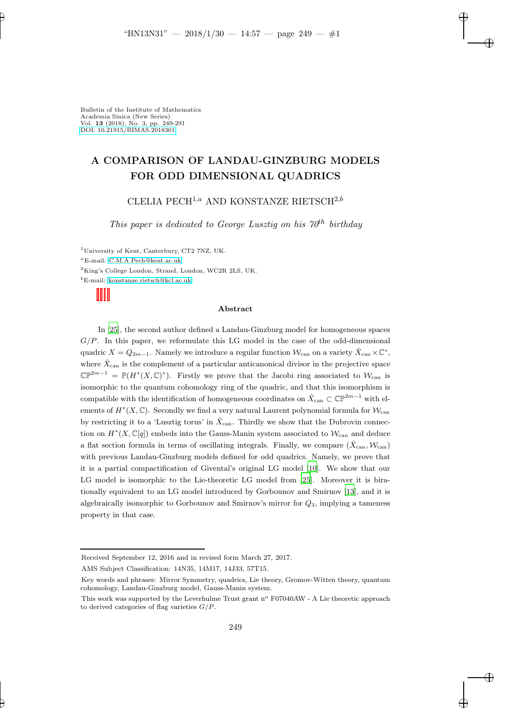# A COMPARISON OF LANDAU-GINZBURG MODELS FOR ODD DIMENSIONAL QUADRICS

CLELIA PECH<sup>1,a</sup> AND KONSTANZE RIETSCH<sup>2,b</sup>

This paper is dedicated to George Lusztig on his  $70<sup>th</sup>$  birthday

<sup>1</sup>University of Kent, Canterbury, CT2 7NZ, UK.

<sup>a</sup>E-mail: [C.M.A.Pech@kent.ac.uk](mailto: C.M.A.Pech@kent.ac.uk)

<sup>2</sup>King's College London, Strand, London, WC2R 2LS, UK.

<sup>b</sup>E-mail: [konstanze.rietsch@kcl.ac.uk](mailto: konstanze.rietsch@kcl.ac.uk)

#### Abstract

In [\[25](#page-42-0)], the second author defined a Landau-Ginzburg model for homogeneous spaces  $G/P$ . In this paper, we reformulate this LG model in the case of the odd-dimensional quadric  $X = Q_{2m-1}$ . Namely we introduce a regular function  $\mathcal{W}_{\text{can}}$  on a variety  $\check{X}_{\text{can}} \times \mathbb{C}^*$ , where  $\check{X}_{\text{can}}$  is the complement of a particular anticanonical divisor in the projective space  $\mathbb{CP}^{2m-1} = \mathbb{P}(H^*(X,\mathbb{C})^*)$ . Firstly we prove that the Jacobi ring associated to  $\mathcal{W}_{\text{can}}$  is isomorphic to the quantum cohomology ring of the quadric, and that this isomorphism is compatible with the identification of homogeneous coordinates on  $\check{X}_{\text{can}} \subset \mathbb{CP}^{2m-1}$  with elements of  $H^*(X, \mathbb{C})$ . Secondly we find a very natural Laurent polynomial formula for  $\mathcal{W}_{\text{can}}$ by restricting it to a 'Lusztig torus' in  $\check{X}_{\text{can}}$ . Thirdly we show that the Dubrovin connection on  $H^*(X,\mathbb{C}[q])$  embeds into the Gauss-Manin system associated to  $\mathcal{W}_{\text{can}}$  and deduce a flat section formula in terms of oscillating integrals. Finally, we compare  $(X_{can}, \mathcal{W}_{can})$ with previous Landau-Ginzburg models defined for odd quadrics. Namely, we prove that it is a partial compactification of Givental's original LG model [\[10\]](#page-42-1). We show that our LG model is isomorphic to the Lie-theoretic LG model from [\[25](#page-42-0)]. Moreover it is birationally equivalent to an LG model introduced by Gorbounov and Smirnov [\[13\]](#page-42-2), and it is algebraically isomorphic to Gorbounov and Smirnov's mirror for  $Q_3$ , implying a tameness property in that case.

Received September 12, 2016 and in revised form March 27, 2017.

AMS Subject Classification: 14N35, 14M17, 14J33, 57T15.

Key words and phrases: Mirror Symmetry, quadrics, Lie theory, Gromov-Witten theory, quantum cohomology, Landau-Ginzburg model, Gauss-Manin system.

This work was supported by the Leverhulme Trust grant  $n^{\circ}$  F07040AW - A Lie theoretic approach to derived categories of flag varieties  $G/P$ .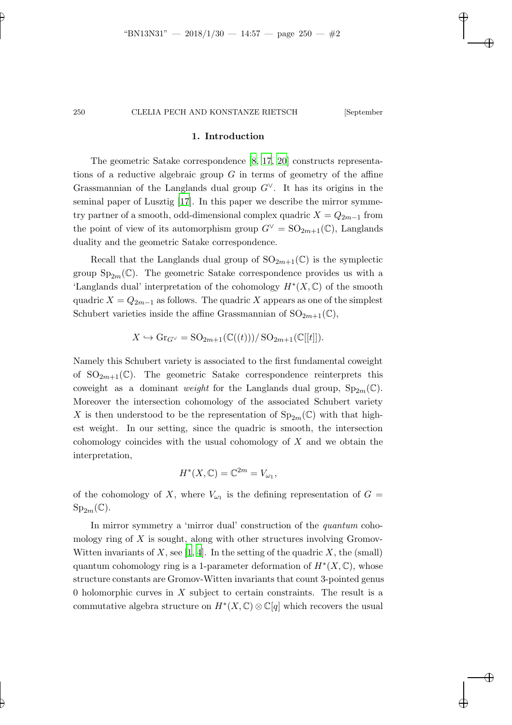#### 1. Introduction

The geometric Satake correspondence [\[8,](#page-41-0) [17](#page-42-3), [20](#page-42-4)] constructs representations of a reductive algebraic group  $G$  in terms of geometry of the affine Grassmannian of the Langlands dual group  $G^{\vee}$ . It has its origins in the seminal paper of Lusztig [\[17\]](#page-42-3). In this paper we describe the mirror symmetry partner of a smooth, odd-dimensional complex quadric  $X = Q_{2m-1}$  from the point of view of its automorphism group  $G^{\vee} = SO_{2m+1}(\mathbb{C})$ , Langlands duality and the geometric Satake correspondence.

Recall that the Langlands dual group of  $SO_{2m+1}(\mathbb{C})$  is the symplectic group  $Sp_{2m}(\mathbb{C})$ . The geometric Satake correspondence provides us with a 'Langlands dual' interpretation of the cohomology  $H^*(X, \mathbb{C})$  of the smooth quadric  $X = Q_{2m-1}$  as follows. The quadric X appears as one of the simplest Schubert varieties inside the affine Grassmannian of  $SO_{2m+1}(\mathbb{C}),$ 

$$
X \hookrightarrow \mathrm{Gr}_{G^\vee} = \mathrm{SO}_{2m+1}(\mathbb{C}((t)))/\mathrm{SO}_{2m+1}(\mathbb{C}[[t]]).
$$

Namely this Schubert variety is associated to the first fundamental coweight of  $SO_{2m+1}(\mathbb{C})$ . The geometric Satake correspondence reinterprets this coweight as a dominant *weight* for the Langlands dual group,  $Sp_{2m}(\mathbb{C})$ . Moreover the intersection cohomology of the associated Schubert variety X is then understood to be the representation of  $Sp_{2m}(\mathbb{C})$  with that highest weight. In our setting, since the quadric is smooth, the intersection cohomology coincides with the usual cohomology of  $X$  and we obtain the interpretation,

$$
H^*(X,\mathbb{C})=\mathbb{C}^{2m}=V_{\omega_1},
$$

of the cohomology of X, where  $V_{\omega_1}$  is the defining representation of  $G =$  $Sp_{2m}(\mathbb{C}).$ 

In mirror symmetry a 'mirror dual' construction of the *quantum* cohomology ring of  $X$  is sought, along with other structures involving Gromov-Witten invariants of X, see [\[1,](#page-41-1) [4](#page-41-2)]. In the setting of the quadric X, the (small) quantum cohomology ring is a 1-parameter deformation of  $H^*(X, \mathbb{C})$ , whose structure constants are Gromov-Witten invariants that count 3-pointed genus 0 holomorphic curves in X subject to certain constraints. The result is a commutative algebra structure on  $H^*(X, \mathbb{C}) \otimes \mathbb{C}[q]$  which recovers the usual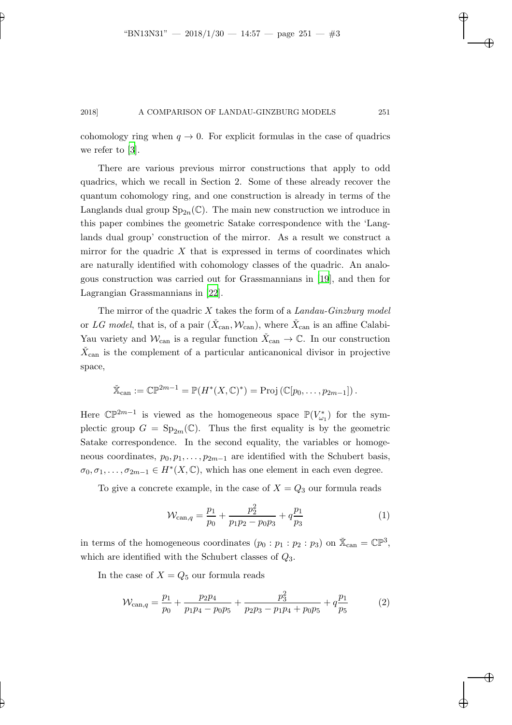cohomology ring when  $q \to 0$ . For explicit formulas in the case of quadrics we refer to [\[3](#page-41-3)].

There are various previous mirror constructions that apply to odd quadrics, which we recall in Section 2. Some of these already recover the quantum cohomology ring, and one construction is already in terms of the Langlands dual group  $\text{Sp}_{2n}(\mathbb{C})$ . The main new construction we introduce in this paper combines the geometric Satake correspondence with the 'Langlands dual group' construction of the mirror. As a result we construct a mirror for the quadric  $X$  that is expressed in terms of coordinates which are naturally identified with cohomology classes of the quadric. An analogous construction was carried out for Grassmannians in [\[19](#page-42-5)], and then for Lagrangian Grassmannians in [\[22](#page-42-6)].

The mirror of the quadric  $X$  takes the form of a Landau-Ginzburg model or LG model, that is, of a pair  $(\check{X}_{\text{can}}, W_{\text{can}})$ , where  $\check{X}_{\text{can}}$  is an affine Calabi-Yau variety and  $\mathcal{W}_{\text{can}}$  is a regular function  $\check{X}_{\text{can}} \to \mathbb{C}$ . In our construction  $\check{X}_{\text{can}}$  is the complement of a particular anticanonical divisor in projective space,

$$
\check{\mathbb{X}}_{\operatorname{can}} := \mathbb{CP}^{2m-1} = \mathbb{P}(H^*(X,\mathbb{C})^*) = \operatorname{Proj}(\mathbb{C}[p_0,\ldots,p_{2m-1}]).
$$

Here  $\mathbb{CP}^{2m-1}$  is viewed as the homogeneous space  $\mathbb{P}(V_{\omega_1}^*)$  for the symplectic group  $G = Sp_{2m}(\mathbb{C})$ . Thus the first equality is by the geometric Satake correspondence. In the second equality, the variables or homogeneous coordinates,  $p_0, p_1, \ldots, p_{2m-1}$  are identified with the Schubert basis,  $\sigma_0, \sigma_1, \ldots, \sigma_{2m-1} \in H^*(X, \mathbb{C})$ , which has one element in each even degree.

To give a concrete example, in the case of  $X = Q_3$  our formula reads

$$
\mathcal{W}_{\text{can},q} = \frac{p_1}{p_0} + \frac{p_2^2}{p_1 p_2 - p_0 p_3} + q \frac{p_1}{p_3} \tag{1}
$$

in terms of the homogeneous coordinates  $(p_0 : p_1 : p_2 : p_3)$  on  $\mathbb{X}_{\text{can}} = \mathbb{CP}^3$ , which are identified with the Schubert classes of  $Q_3$ .

In the case of  $X = Q_5$  our formula reads

$$
\mathcal{W}_{\text{can},q} = \frac{p_1}{p_0} + \frac{p_2 p_4}{p_1 p_4 - p_0 p_5} + \frac{p_3^2}{p_2 p_3 - p_1 p_4 + p_0 p_5} + q \frac{p_1}{p_5} \tag{2}
$$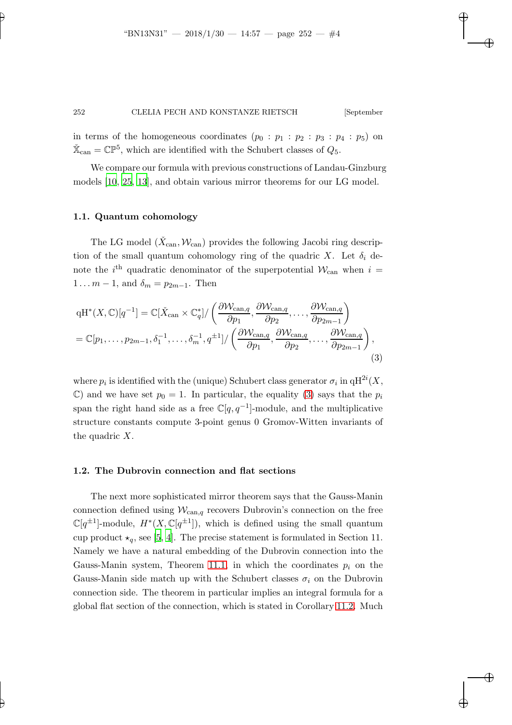in terms of the homogeneous coordinates  $(p_0 : p_1 : p_2 : p_3 : p_4 : p_5)$  on  $\check{\mathbb{X}}_{\text{can}} = \mathbb{CP}^5$ , which are identified with the Schubert classes of  $Q_5$ .

We compare our formula with previous constructions of Landau-Ginzburg models [\[10](#page-42-1), [25](#page-42-0), [13\]](#page-42-2), and obtain various mirror theorems for our LG model.

#### 1.1. Quantum cohomology

The LG model  $(\check{X}_{\text{can}}, \mathcal{W}_{\text{can}})$  provides the following Jacobi ring description of the small quantum cohomology ring of the quadric X. Let  $\delta_i$  denote the  $i<sup>th</sup>$  quadratic denominator of the superpotential  $\mathcal{W}_{\text{can}}$  when  $i =$  $1 \ldots m-1$ , and  $\delta_m = p_{2m-1}$ . Then

$$
qH^*(X, \mathbb{C})[q^{-1}] = \mathbb{C}[\check{X}_{\text{can}} \times \mathbb{C}_q^*]/\left(\frac{\partial W_{\text{can},q}}{\partial p_1}, \frac{\partial W_{\text{can},q}}{\partial p_2}, \dots, \frac{\partial W_{\text{can},q}}{\partial p_{2m-1}}\right)
$$
  
=  $\mathbb{C}[p_1, \dots, p_{2m-1}, \delta_1^{-1}, \dots, \delta_m^{-1}, q^{\pm 1}]/\left(\frac{\partial W_{\text{can},q}}{\partial p_1}, \frac{\partial W_{\text{can},q}}{\partial p_2}, \dots, \frac{\partial W_{\text{can},q}}{\partial p_{2m-1}}\right),$  (3)

<span id="page-3-0"></span>where  $p_i$  is identified with the (unique) Schubert class generator  $\sigma_i$  in  $\mathrm{qH}^{2i}(X,$  $\mathbb{C}$ ) and we have set  $p_0 = 1$ . In particular, the equality [\(3\)](#page-3-0) says that the  $p_i$ span the right hand side as a free  $\mathbb{C}[q, q^{-1}]$ -module, and the multiplicative structure constants compute 3-point genus 0 Gromov-Witten invariants of the quadric X.

### 1.2. The Dubrovin connection and flat sections

The next more sophisticated mirror theorem says that the Gauss-Manin connection defined using  $W_{\text{can},q}$  recovers Dubrovin's connection on the free  $\mathbb{C}[q^{\pm 1}]$ -module,  $H^*(X,\mathbb{C}[q^{\pm 1}])$ , which is defined using the small quantum cup product  $\star_q$ , see [\[5,](#page-41-4) [4](#page-41-2)]. The precise statement is formulated in Section 11. Namely we have a natural embedding of the Dubrovin connection into the Gauss-Manin system, Theorem [11.1,](#page-33-0) in which the coordinates  $p_i$  on the Gauss-Manin side match up with the Schubert classes  $\sigma_i$  on the Dubrovin connection side. The theorem in particular implies an integral formula for a global flat section of the connection, which is stated in Corollary [11.2.](#page-38-0) Much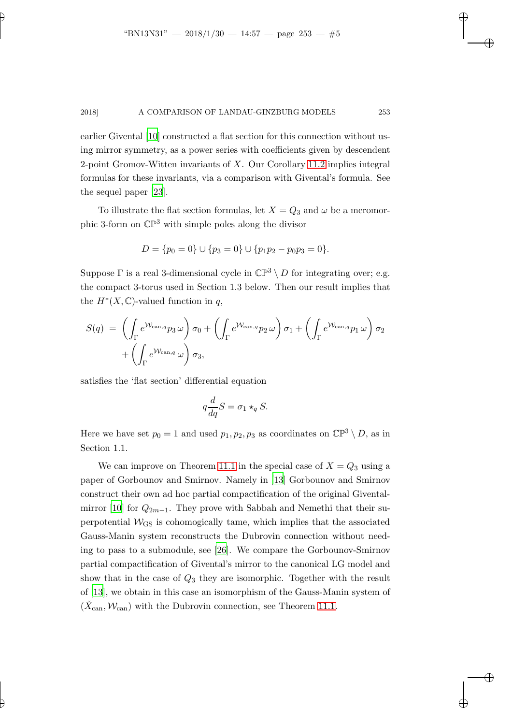earlier Givental [\[10](#page-42-1)] constructed a flat section for this connection without using mirror symmetry, as a power series with coefficients given by descendent 2-point Gromov-Witten invariants of  $X$ . Our Corollary [11.2](#page-38-0) implies integral formulas for these invariants, via a comparison with Givental's formula. See the sequel paper [\[23](#page-42-7)].

To illustrate the flat section formulas, let  $X = Q_3$  and  $\omega$  be a meromorphic 3-form on  $\mathbb{CP}^3$  with simple poles along the divisor

$$
D = \{p_0 = 0\} \cup \{p_3 = 0\} \cup \{p_1p_2 - p_0p_3 = 0\}.
$$

Suppose  $\Gamma$  is a real 3-dimensional cycle in  $\mathbb{CP}^3 \setminus D$  for integrating over; e.g. the compact 3-torus used in Section 1.3 below. Then our result implies that the  $H^*(X,\mathbb{C})$ -valued function in q,

$$
S(q) = \left(\int_{\Gamma} e^{\mathcal{W}_{\text{can},q}} p_3 \,\omega\right) \sigma_0 + \left(\int_{\Gamma} e^{\mathcal{W}_{\text{can},q}} p_2 \,\omega\right) \sigma_1 + \left(\int_{\Gamma} e^{\mathcal{W}_{\text{can},q}} p_1 \,\omega\right) \sigma_2 + \left(\int_{\Gamma} e^{\mathcal{W}_{\text{can},q}} \,\omega\right) \sigma_3,
$$

satisfies the 'flat section' differential equation

$$
q\frac{d}{dq}S = \sigma_1 \star_q S.
$$

Here we have set  $p_0 = 1$  and used  $p_1, p_2, p_3$  as coordinates on  $\mathbb{CP}^3 \setminus D$ , as in Section 1.1.

We can improve on Theorem [11.1](#page-33-0) in the special case of  $X = Q_3$  using a paper of Gorbounov and Smirnov. Namely in [\[13](#page-42-2)] Gorbounov and Smirnov construct their own ad hoc partial compactification of the original Givental-mirror [\[10](#page-42-1)] for  $Q_{2m-1}$ . They prove with Sabbah and Nemethi that their superpotential  $W_{\text{GS}}$  is cohomogically tame, which implies that the associated Gauss-Manin system reconstructs the Dubrovin connection without needing to pass to a submodule, see [\[26\]](#page-42-8). We compare the Gorbounov-Smirnov partial compactification of Givental's mirror to the canonical LG model and show that in the case of  $Q_3$  they are isomorphic. Together with the result of [\[13](#page-42-2)], we obtain in this case an isomorphism of the Gauss-Manin system of  $(\check{X}_{\text{can}}, \mathcal{W}_{\text{can}})$  with the Dubrovin connection, see Theorem [11.1.](#page-33-0)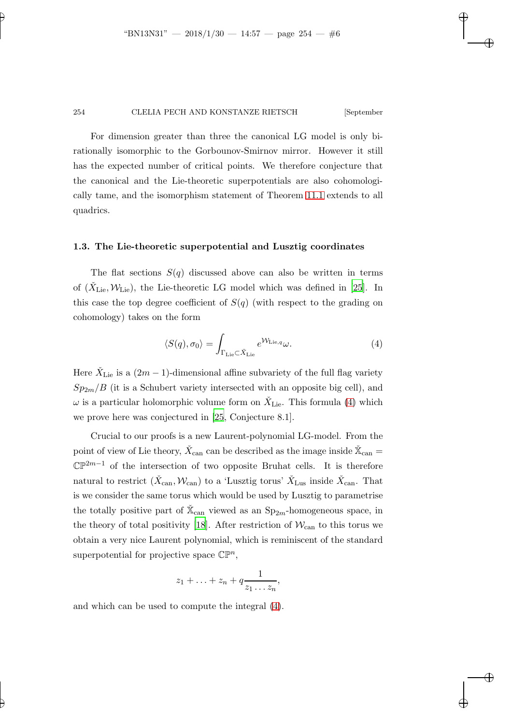For dimension greater than three the canonical LG model is only birationally isomorphic to the Gorbounov-Smirnov mirror. However it still has the expected number of critical points. We therefore conjecture that the canonical and the Lie-theoretic superpotentials are also cohomologically tame, and the isomorphism statement of Theorem [11.1](#page-33-0) extends to all quadrics.

#### 1.3. The Lie-theoretic superpotential and Lusztig coordinates

The flat sections  $S(q)$  discussed above can also be written in terms of  $(\check{X}_{\text{Lie}}, \mathcal{W}_{\text{Lie}})$ , the Lie-theoretic LG model which was defined in [\[25](#page-42-0)]. In this case the top degree coefficient of  $S(q)$  (with respect to the grading on cohomology) takes on the form

<span id="page-5-0"></span>
$$
\langle S(q), \sigma_0 \rangle = \int_{\Gamma_{\text{Lie}} \subset \check{X}_{\text{Lie}}} e^{\mathcal{W}_{\text{Lie},q}} \omega. \tag{4}
$$

Here  $\check{X}_{\text{Lie}}$  is a  $(2m-1)$ -dimensional affine subvariety of the full flag variety  $Sp_{2m}/B$  (it is a Schubert variety intersected with an opposite big cell), and  $\omega$  is a particular holomorphic volume form on  $\check{X}_{\mathrm{Lie}}$ . This formula [\(4\)](#page-5-0) which we prove here was conjectured in [\[25](#page-42-0), Conjecture 8.1].

Crucial to our proofs is a new Laurent-polynomial LG-model. From the point of view of Lie theory,  $\check{X}_{\mathrm{can}}$  can be described as the image inside  $\check{\mathbb{X}}_{\mathrm{can}} =$  $\mathbb{CP}^{2m-1}$  of the intersection of two opposite Bruhat cells. It is therefore natural to restrict  $(\check{X}_{\text{can}}, \mathcal{W}_{\text{can}})$  to a 'Lusztig torus'  $\check{X}_{\text{Lus}}$  inside  $\check{X}_{\text{can}}$ . That is we consider the same torus which would be used by Lusztig to parametrise the totally positive part of  $\check{\mathbb{X}}_{\text{can}}$  viewed as an  $\text{Sp}_{2m}\text{-homogeneous space}$ , in the theory of total positivity [\[18](#page-42-9)]. After restriction of  $\mathcal{W}_{\text{can}}$  to this torus we obtain a very nice Laurent polynomial, which is reminiscent of the standard superpotential for projective space  $\mathbb{CP}^n$ ,

$$
z_1+\ldots+z_n+q\frac{1}{z_1\ldots z_n},
$$

and which can be used to compute the integral [\(4\)](#page-5-0).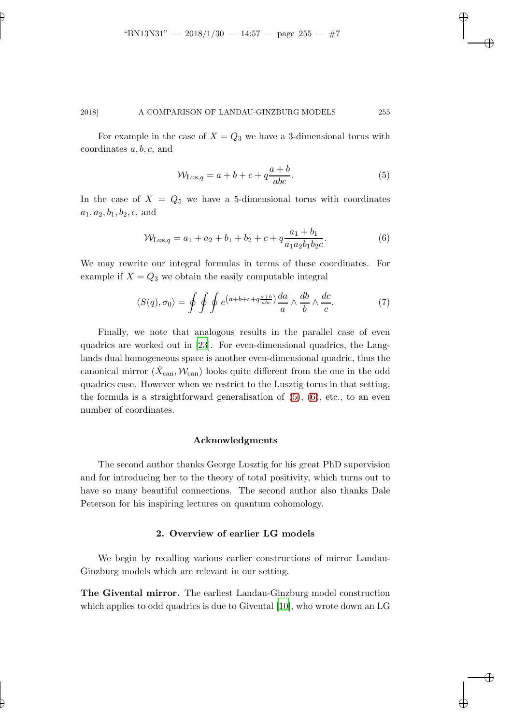For example in the case of  $X = Q_3$  we have a 3-dimensional torus with coordinates  $a, b, c$ , and

<span id="page-6-0"></span>
$$
\mathcal{W}_{\text{Lus},q} = a + b + c + q \frac{a+b}{abc}.\tag{5}
$$

In the case of  $X = Q_5$  we have a 5-dimensional torus with coordinates  $a_1, a_2, b_1, b_2, c$ , and

<span id="page-6-1"></span>
$$
\mathcal{W}_{\text{Lus},q} = a_1 + a_2 + b_1 + b_2 + c + q \frac{a_1 + b_1}{a_1 a_2 b_1 b_2 c}.
$$
\n
$$
(6)
$$

We may rewrite our integral formulas in terms of these coordinates. For example if  $X = Q_3$  we obtain the easily computable integral

$$
\langle S(q), \sigma_0 \rangle = \oint \oint \oint e^{\left(a+b+c+q\frac{a+b}{abc}\right)} \frac{da}{a} \wedge \frac{db}{b} \wedge \frac{dc}{c}.
$$
 (7)

Finally, we note that analogous results in the parallel case of even quadrics are worked out in [\[23](#page-42-7)]. For even-dimensional quadrics, the Langlands dual homogeneous space is another even-dimensional quadric, thus the canonical mirror  $(\check{X}_{\text{can}}, \mathcal{W}_{\text{can}})$  looks quite different from the one in the odd quadrics case. However when we restrict to the Lusztig torus in that setting, the formula is a straightforward generalisation of  $(5)$ ,  $(6)$ , etc., to an even number of coordinates.

#### Acknowledgments

The second author thanks George Lusztig for his great PhD supervision and for introducing her to the theory of total positivity, which turns out to have so many beautiful connections. The second author also thanks Dale Peterson for his inspiring lectures on quantum cohomology.

### 2. Overview of earlier LG models

We begin by recalling various earlier constructions of mirror Landau-Ginzburg models which are relevant in our setting.

The Givental mirror. The earliest Landau-Ginzburg model construction which applies to odd quadrics is due to Givental [\[10\]](#page-42-1), who wrote down an LG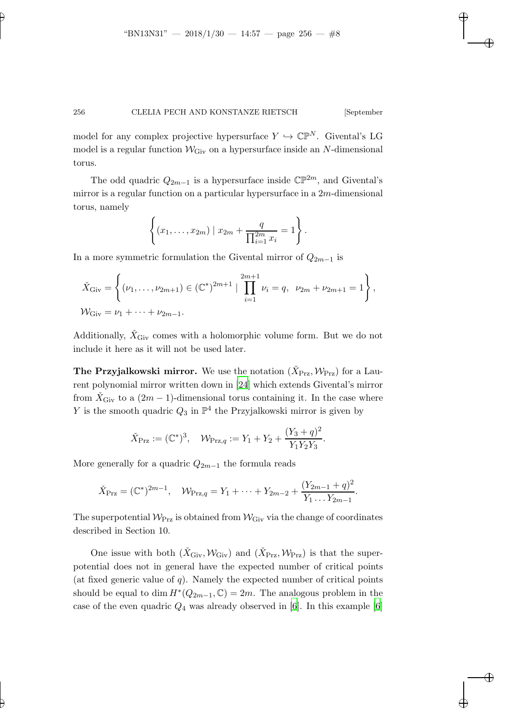model for any complex projective hypersurface  $Y \hookrightarrow \mathbb{CP}^N$ . Givental's LG model is a regular function  $W_{\text{Giv}}$  on a hypersurface inside an N-dimensional torus.

The odd quadric  $Q_{2m-1}$  is a hypersurface inside  $\mathbb{CP}^{2m}$ , and Givental's mirror is a regular function on a particular hypersurface in a  $2m$ -dimensional torus, namely

$$
\left\{ (x_1, \ldots, x_{2m}) \mid x_{2m} + \frac{q}{\prod_{i=1}^{2m} x_i} = 1 \right\}.
$$

In a more symmetric formulation the Givental mirror of  $Q_{2m-1}$  is

$$
\check{X}_{\text{Giv}} = \left\{ (\nu_1, \dots, \nu_{2m+1}) \in (\mathbb{C}^*)^{2m+1} \mid \prod_{i=1}^{2m+1} \nu_i = q, \ \nu_{2m} + \nu_{2m+1} = 1 \right\},\
$$
  

$$
\mathcal{W}_{\text{Giv}} = \nu_1 + \dots + \nu_{2m-1}.
$$

Additionally,  $\dot{X}_{\text{Giv}}$  comes with a holomorphic volume form. But we do not include it here as it will not be used later.

The Przyjalkowski mirror. We use the notation  $(\check{X}_{\text{Prz}}, \mathcal{W}_{\text{Prz}})$  for a Laurent polynomial mirror written down in [\[24\]](#page-42-10) which extends Givental's mirror from  $\check{X}_{\text{Giv}}$  to a  $(2m-1)$ -dimensional torus containing it. In the case where Y is the smooth quadric  $Q_3$  in  $\mathbb{P}^4$  the Przyjalkowski mirror is given by

$$
\check{X}_{\text{Prz}} := (\mathbb{C}^*)^3
$$
,  $\mathcal{W}_{\text{Prz},q} := Y_1 + Y_2 + \frac{(Y_3 + q)^2}{Y_1 Y_2 Y_3}$ .

More generally for a quadric  $Q_{2m-1}$  the formula reads

$$
\check{X}_{\text{Prz}} = (\mathbb{C}^*)^{2m-1}, \quad \mathcal{W}_{\text{Prz},q} = Y_1 + \dots + Y_{2m-2} + \frac{(Y_{2m-1} + q)^2}{Y_1 \dots Y_{2m-1}}.
$$

The superpotential  $W_{\text{Prz}}$  is obtained from  $W_{\text{Giv}}$  via the change of coordinates described in Section 10.

One issue with both  $(\check{X}_{\text{Giv}}, \mathcal{W}_{\text{Giv}})$  and  $(\check{X}_{\text{Prz}}, \mathcal{W}_{\text{Prz}})$  is that the superpotential does not in general have the expected number of critical points (at fixed generic value of  $q$ ). Namely the expected number of critical points should be equal to dim  $H^*(Q_{2m-1}, \mathbb{C}) = 2m$ . The analogous problem in the case of the even quadric  $Q_4$  was already observed in [\[6](#page-41-5)]. In this example [\[6\]](#page-41-5)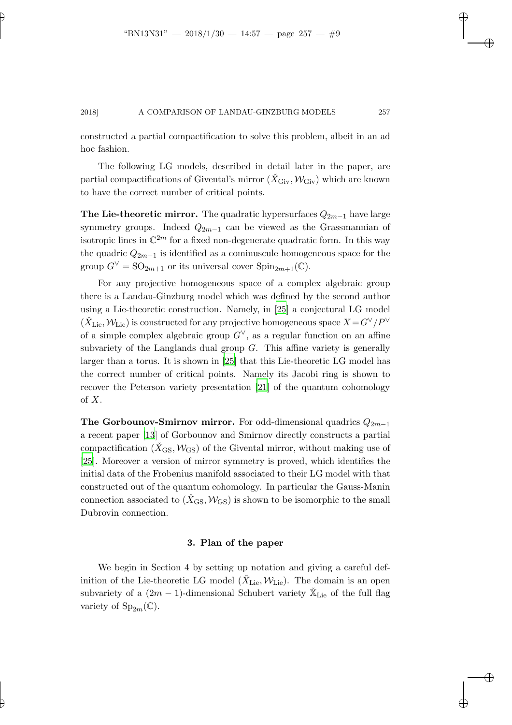constructed a partial compactification to solve this problem, albeit in an ad hoc fashion.

The following LG models, described in detail later in the paper, are partial compactifications of Givental's mirror  $(\check{X}_{\text{Giv}},\mathcal{W}_{\text{Giv}})$  which are known to have the correct number of critical points.

**The Lie-theoretic mirror.** The quadratic hypersurfaces  $Q_{2m-1}$  have large symmetry groups. Indeed  $Q_{2m-1}$  can be viewed as the Grassmannian of isotropic lines in  $\mathbb{C}^{2m}$  for a fixed non-degenerate quadratic form. In this way the quadric  $Q_{2m-1}$  is identified as a cominuscule homogeneous space for the group  $G^{\vee} = SO_{2m+1}$  or its universal cover  $Spin_{2m+1}(\mathbb{C})$ .

For any projective homogeneous space of a complex algebraic group there is a Landau-Ginzburg model which was defined by the second author using a Lie-theoretic construction. Namely, in [\[25](#page-42-0)] a conjectural LG model  $(\check{X}_{\rm Lie},\mathcal{W}_{\rm Lie})$  is constructed for any projective homogeneous space  $X\!=\!G^\vee/P^\vee$ of a simple complex algebraic group  $G^{\vee}$ , as a regular function on an affine subvariety of the Langlands dual group  $G$ . This affine variety is generally larger than a torus. It is shown in [\[25\]](#page-42-0) that this Lie-theoretic LG model has the correct number of critical points. Namely its Jacobi ring is shown to recover the Peterson variety presentation [\[21](#page-42-11)] of the quantum cohomology of  $X$ .

The Gorbounov-Smirnov mirror. For odd-dimensional quadrics  $Q_{2m-1}$ a recent paper [\[13\]](#page-42-2) of Gorbounov and Smirnov directly constructs a partial compactification  $(X_{\text{GS}}, \mathcal{W}_{\text{GS}})$  of the Givental mirror, without making use of [\[25](#page-42-0)]. Moreover a version of mirror symmetry is proved, which identifies the initial data of the Frobenius manifold associated to their LG model with that constructed out of the quantum cohomology. In particular the Gauss-Manin connection associated to  $(\check{X}_{\text{GS}}, \mathcal{W}_{\text{GS}})$  is shown to be isomorphic to the small Dubrovin connection.

#### 3. Plan of the paper

We begin in Section 4 by setting up notation and giving a careful definition of the Lie-theoretic LG model  $(\check{X}_{\text{Lie}}, \mathcal{W}_{\text{Lie}})$ . The domain is an open subvariety of a  $(2m - 1)$ -dimensional Schubert variety  $\check{\mathbb{X}}_{\text{Lie}}$  of the full flag variety of  $Sp_{2m}(\mathbb{C})$ .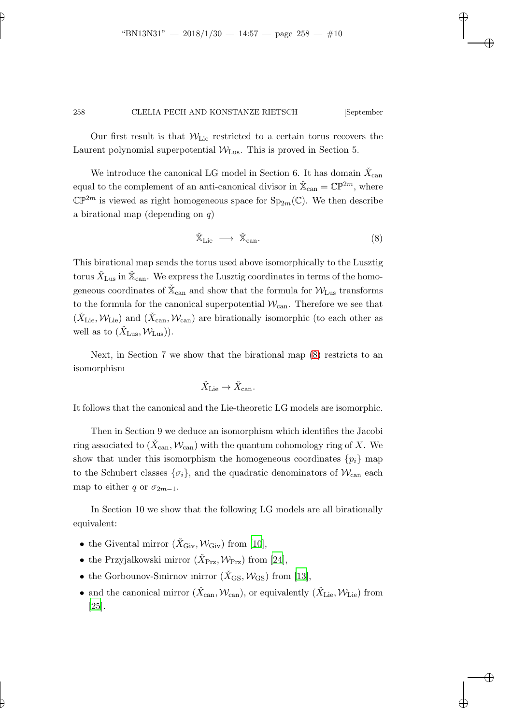Our first result is that  $W_{\text{Lie}}$  restricted to a certain torus recovers the Laurent polynomial superpotential  $W_{\text{Lus}}$ . This is proved in Section 5.

We introduce the canonical LG model in Section 6. It has domain  $\check{X}_{\mathrm{can}}$ equal to the complement of an anti-canonical divisor in  $\mathbb{X}_{\text{can}} = \mathbb{CP}^{2m}$ , where  $\mathbb{CP}^{2m}$  is viewed as right homogeneous space for  $\text{Sp}_{2m}(\mathbb{C})$ . We then describe a birational map (depending on  $q$ )

<span id="page-9-0"></span>
$$
\check{\mathbb{X}}_{\text{Lie}} \longrightarrow \check{\mathbb{X}}_{\text{can}}.\tag{8}
$$

This birational map sends the torus used above isomorphically to the Lusztig torus  $\check{X}_{\text{Lus}}$  in  $\check{\mathbb{X}}_{\text{can}}$ . We express the Lusztig coordinates in terms of the homogeneous coordinates of  $\check{\mathbb{X}}_{\text{can}}$  and show that the formula for  $\mathcal{W}_{\text{Lus}}$  transforms to the formula for the canonical superpotential  $\mathcal{W}_{\mathrm{can}}$ . Therefore we see that  $(\check{X}_{\text{Lie}}, \mathcal{W}_{\text{Lie}})$  and  $(\check{X}_{\text{can}}, \mathcal{W}_{\text{can}})$  are birationally isomorphic (to each other as well as to  $(\check{X}_{\text{Lus}}, \mathcal{W}_{\text{Lus}})$ .

Next, in Section 7 we show that the birational map [\(8\)](#page-9-0) restricts to an isomorphism

$$
\check{X}_{\mathrm{Lie}} \to \check{X}_{\mathrm{can}}.
$$

It follows that the canonical and the Lie-theoretic LG models are isomorphic.

Then in Section 9 we deduce an isomorphism which identifies the Jacobi ring associated to  $(\check{X}_{\operatorname{can}}, \mathcal{W}_{\operatorname{can}})$  with the quantum cohomology ring of X. We show that under this isomorphism the homogeneous coordinates  $\{p_i\}$  map to the Schubert classes  $\{\sigma_i\}$ , and the quadratic denominators of  $\mathcal{W}_{\text{can}}$  each map to either q or  $\sigma_{2m-1}$ .

In Section 10 we show that the following LG models are all birationally equivalent:

- the Givental mirror  $(\check{X}_{\text{Giv}}, W_{\text{Giv}})$  from [\[10](#page-42-1)],
- the Przyjalkowski mirror  $(\check{X}_{Prz}, \mathcal{W}_{Prz})$  from [\[24](#page-42-10)],
- the Gorbounov-Smirnov mirror  $(\check{X}_{\text{GS}}, \mathcal{W}_{\text{GS}})$  from [\[13](#page-42-2)],
- and the canonical mirror  $(\check{X}_{\text{can}}, \mathcal{W}_{\text{can}})$ , or equivalently  $(\check{X}_{\text{Lie}}, \mathcal{W}_{\text{Lie}})$  from [\[25\]](#page-42-0).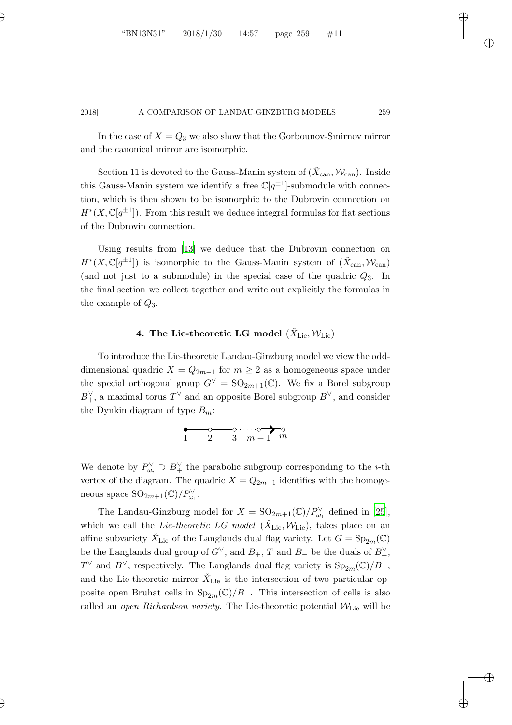In the case of  $X = Q_3$  we also show that the Gorbounov-Smirnov mirror and the canonical mirror are isomorphic.

Section 11 is devoted to the Gauss-Manin system of  $(\check{X}_{\text{can}}, \mathcal{W}_{\text{can}})$ . Inside this Gauss-Manin system we identify a free  $\mathbb{C}[q^{\pm 1}]$ -submodule with connection, which is then shown to be isomorphic to the Dubrovin connection on  $H^*(X,\mathbb{C}[q^{\pm 1}])$ . From this result we deduce integral formulas for flat sections of the Dubrovin connection.

Using results from [\[13](#page-42-2)] we deduce that the Dubrovin connection on  $H^*(X,\mathbb{C}[q^{\pm 1}])$  is isomorphic to the Gauss-Manin system of  $(\check{X}_{\text{can}}, \mathcal{W}_{\text{can}})$ (and not just to a submodule) in the special case of the quadric  $Q_3$ . In the final section we collect together and write out explicitly the formulas in the example of  $Q_3$ .

# 4. The Lie-theoretic LG model  $(\check{X}_{\mathrm{Lie}}, \mathcal{W}_{\mathrm{Lie}})$

To introduce the Lie-theoretic Landau-Ginzburg model we view the odddimensional quadric  $X = Q_{2m-1}$  for  $m \geq 2$  as a homogeneous space under the special orthogonal group  $G^{\vee} = SO_{2m+1}(\mathbb{C})$ . We fix a Borel subgroup  $B_+^{\vee}$ , a maximal torus  $T^{\vee}$  and an opposite Borel subgroup  $B_-^{\vee}$ , and consider the Dynkin diagram of type  $B_m$ :



We denote by  $P_{\omega_i}^{\vee} \supseteq B_+^{\vee}$  the parabolic subgroup corresponding to the *i*-th vertex of the diagram. The quadric  $X = Q_{2m-1}$  identifies with the homogeneous space  $\mathrm{SO}_{2m+1}(\mathbb{C})/P_{\omega_1}^{\vee}$ .

The Landau-Ginzburg model for  $X = \text{SO}_{2m+1}(\mathbb{C})/P_{\omega_1}^{\vee}$  defined in [\[25](#page-42-0)], which we call the *Lie-theoretic LG model* ( $\check{X}_{\text{Lie}}, \mathcal{W}_{\text{Lie}}$ ), takes place on an affine subvariety  $\check{X}_{\text{Lie}}$  of the Langlands dual flag variety. Let  $G = \text{Sp}_{2m}(\mathbb{C})$ be the Langlands dual group of  $G^{\vee}$ , and  $B_{+}$ , T and  $B_{-}$  be the duals of  $B_{+}^{\vee}$ ,  $T^{\vee}$  and  $B_{-}^{\vee}$ , respectively. The Langlands dual flag variety is  $Sp_{2m}(\mathbb{C})/B_{-}$ , and the Lie-theoretic mirror  $\check{X}_{\text{Lie}}$  is the intersection of two particular opposite open Bruhat cells in  $Sp_{2m}(\mathbb{C})/B_-\$ . This intersection of cells is also called an open Richardson variety. The Lie-theoretic potential  $W_{\text{Lie}}$  will be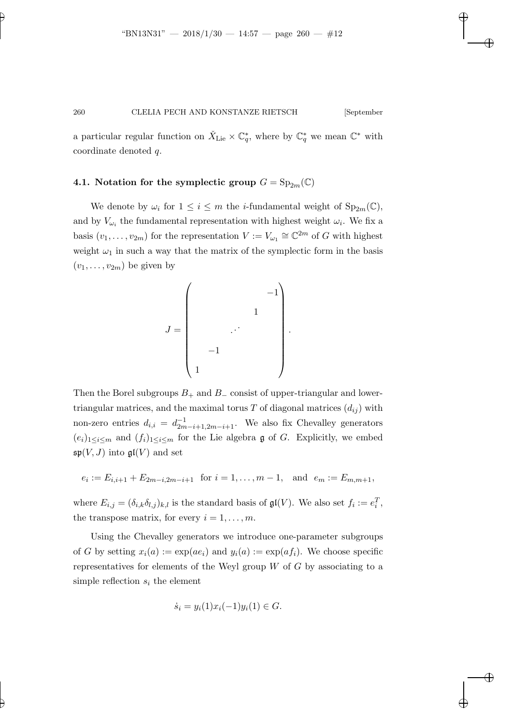a particular regular function on  $\check{X}_{\text{Lie}} \times \mathbb{C}^*_{q}$ , where by  $\mathbb{C}^*_{q}$  we mean  $\mathbb{C}^*$  with coordinate denoted q.

## 4.1. Notation for the symplectic group  $G = Sp_{2m}(\mathbb{C})$

We denote by  $\omega_i$  for  $1 \leq i \leq m$  the *i*-fundamental weight of  $Sp_{2m}(\mathbb{C})$ , and by  $V_{\omega_i}$  the fundamental representation with highest weight  $\omega_i$ . We fix a basis  $(v_1, \ldots, v_{2m})$  for the representation  $V := V_{\omega_1} \cong \mathbb{C}^{2m}$  of G with highest weight  $\omega_1$  in such a way that the matrix of the symplectic form in the basis  $(v_1, \ldots, v_{2m})$  be given by

J = −1 1 . . . −1 1 .

Then the Borel subgroups  $B_+$  and  $B_-\$  consist of upper-triangular and lowertriangular matrices, and the maximal torus T of diagonal matrices  $(d_{ij})$  with non-zero entries  $d_{i,i} = d_{2m-i+1,2m-i+1}^{-1}$ . We also fix Chevalley generators  $(e_i)_{1 \leq i \leq m}$  and  $(f_i)_{1 \leq i \leq m}$  for the Lie algebra g of G. Explicitly, we embed  $\mathfrak{sp}(V, J)$  into  $\mathfrak{gl}(V)$  and set

$$
e_i := E_{i,i+1} + E_{2m-i,2m-i+1}
$$
 for  $i = 1, ..., m-1$ , and  $e_m := E_{m,m+1}$ ,

where  $E_{i,j} = (\delta_{i,k}\delta_{l,j})_{k,l}$  is the standard basis of  $\mathfrak{gl}(V)$ . We also set  $f_i := e_i^T$ , the transpose matrix, for every  $i = 1, \ldots, m$ .

Using the Chevalley generators we introduce one-parameter subgroups of G by setting  $x_i(a) := \exp(a e_i)$  and  $y_i(a) := \exp(a f_i)$ . We choose specific representatives for elements of the Weyl group  $W$  of  $G$  by associating to a simple reflection  $s_i$  the element

$$
\dot{s}_i = y_i(1)x_i(-1)y_i(1) \in G.
$$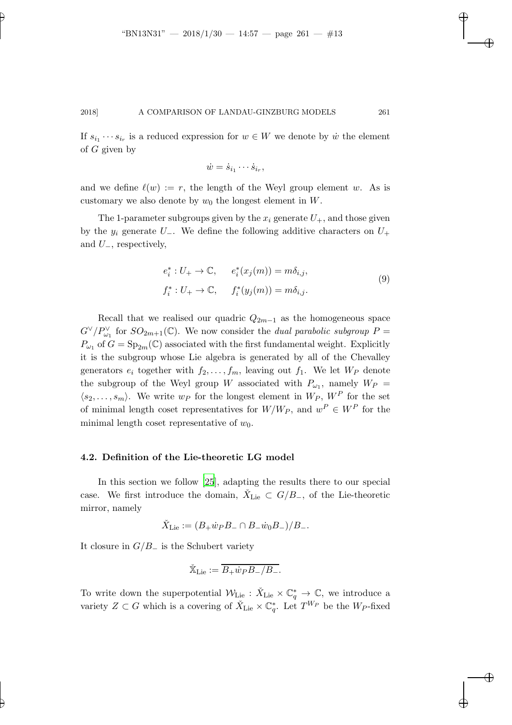If  $s_{i_1} \cdots s_{i_r}$  is a reduced expression for  $w \in W$  we denote by  $\dot{w}$  the element of G given by

$$
\dot{w} = \dot{s}_{i_1} \cdots \dot{s}_{i_r},
$$

and we define  $\ell(w) := r$ , the length of the Weyl group element w. As is customary we also denote by  $w_0$  the longest element in W.

The 1-parameter subgroups given by the  $x_i$  generate  $U_+$ , and those given by the  $y_i$  generate  $U_-\$ . We define the following additive characters on  $U_+$ and  $U_-,$  respectively,

$$
e_i^*: U_+ \to \mathbb{C}, \qquad e_i^*(x_j(m)) = m\delta_{i,j},
$$
  

$$
f_i^*: U_+ \to \mathbb{C}, \qquad f_i^*(y_j(m)) = m\delta_{i,j}.
$$
  
(9)

Recall that we realised our quadric  $Q_{2m-1}$  as the homogeneous space  $G^{\vee}/P_{\omega_1}^{\vee}$  for  $SO_{2m+1}(\mathbb{C})$ . We now consider the *dual parabolic subgroup*  $P =$  $P_{\omega_1}$  of  $G = \mathrm{Sp}_{2m}(\mathbb{C})$  associated with the first fundamental weight. Explicitly it is the subgroup whose Lie algebra is generated by all of the Chevalley generators  $e_i$  together with  $f_2, \ldots, f_m$ , leaving out  $f_1$ . We let  $W_P$  denote the subgroup of the Weyl group W associated with  $P_{\omega_1}$ , namely  $W_P =$  $\langle s_2, \ldots, s_m \rangle$ . We write  $w_P$  for the longest element in  $W_P$ ,  $W^P$  for the set of minimal length coset representatives for  $W/W_P$ , and  $w^P \in W^P$  for the minimal length coset representative of  $w_0$ .

#### 4.2. Definition of the Lie-theoretic LG model

In this section we follow [\[25\]](#page-42-0), adapting the results there to our special case. We first introduce the domain,  $\check{X}_{\text{Lie}} \subset G/B_{-}$ , of the Lie-theoretic mirror, namely

$$
\check{X}_{\mathrm{Lie}} := (B_+ \dot{w}_P B_- \cap B_- \dot{w}_0 B_-) / B_-.
$$

It closure in  $G/B_$  is the Schubert variety

$$
\check{\mathbb{X}}_{\mathrm{Lie}}:=\overline{B_+\dot{w}_PB_-/B_-}.
$$

To write down the superpotential  $W_{\text{Lie}} : \check{X}_{\text{Lie}} \times \mathbb{C}^*_{q} \to \mathbb{C}$ , we introduce a variety  $Z \subset G$  which is a covering of  $\check{X}_{\mathrm{Lie}} \times \mathbb{C}_q^*$ . Let  $T^{W_P}$  be the  $W_P$ -fixed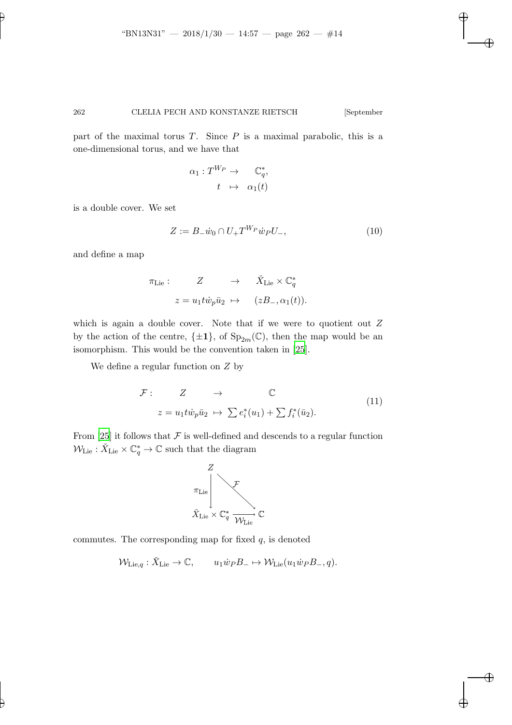part of the maximal torus  $T$ . Since  $P$  is a maximal parabolic, this is a one-dimensional torus, and we have that

$$
\alpha_1: T^{W_P} \to \mathbb{C}^*_q,
$$
  

$$
t \mapsto \alpha_1(t)
$$

is a double cover. We set

<span id="page-13-0"></span>
$$
Z := B_{-}\dot{w}_0 \cap U_{+}T^{W_P}\dot{w}_P U_{-},\tag{10}
$$

and define a map

$$
\pi_{\text{Lie}}: \quad Z \quad \to \quad \check{X}_{\text{Lie}} \times \mathbb{C}_q^*
$$
\n
$$
z = u_1 t \dot{w}_p \bar{u}_2 \quad \mapsto \quad (zB_-, \alpha_1(t)).
$$

which is again a double cover. Note that if we were to quotient out  $Z$ by the action of the centre,  $\{\pm 1\}$ , of  $Sp_{2m}(\mathbb{C})$ , then the map would be an isomorphism. This would be the convention taken in [\[25](#page-42-0)].

We define a regular function on Z by

$$
\mathcal{F}: \qquad Z \qquad \to \qquad \mathbb{C}
$$
  

$$
z = u_1 t \dot{w}_p \bar{u}_2 \qquad \to \qquad \sum e_i^*(u_1) + \sum f_i^*(\bar{u}_2).
$$
 (11)

From [\[25\]](#page-42-0) it follows that  $\mathcal F$  is well-defined and descends to a regular function  $\mathcal{W}_{\mathrm{Lie}} : \check{X}_{\mathrm{Lie}} \times \mathbb{C}^\ast_q \to \mathbb{C}$  such that the diagram



commutes. The corresponding map for fixed  $q$ , is denoted

$$
\mathcal{W}_{\mathrm{Lie},q}: \check{X}_{\mathrm{Lie}} \to \mathbb{C}, \qquad u_1 \dot{w}_P B_- \mapsto \mathcal{W}_{\mathrm{Lie}}(u_1 \dot{w}_P B_-, q).
$$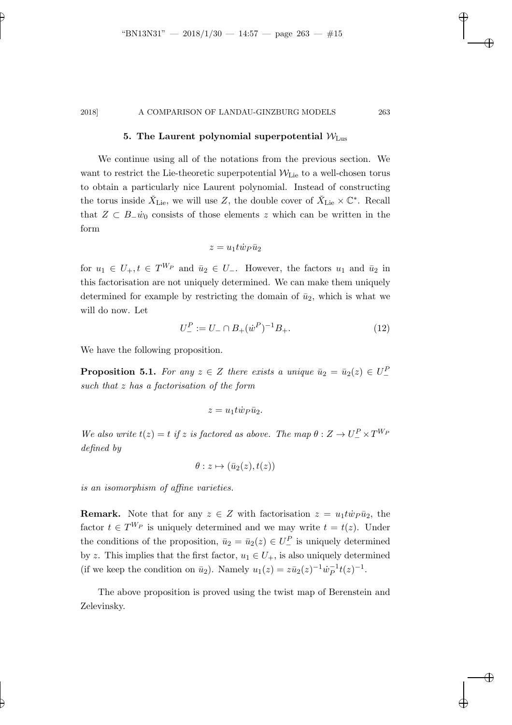## 5. The Laurent polynomial superpotential  $W_{\text{Lus}}$

We continue using all of the notations from the previous section. We want to restrict the Lie-theoretic superpotential  $W_{\text{Lie}}$  to a well-chosen torus to obtain a particularly nice Laurent polynomial. Instead of constructing the torus inside  $\check{X}_{\text{Lie}}$ , we will use Z, the double cover of  $\check{X}_{\text{Lie}} \times \mathbb{C}^*$ . Recall that  $Z \text{ }\subset B_{-} \dot{w}_0$  consists of those elements z which can be written in the form

$$
z=u_1 t \dot w_P \bar u_2
$$

for  $u_1 \in U_+$ ,  $t \in T^{W_P}$  and  $\bar{u}_2 \in U_-.$  However, the factors  $u_1$  and  $\bar{u}_2$  in this factorisation are not uniquely determined. We can make them uniquely determined for example by restricting the domain of  $\bar{u}_2$ , which is what we will do now. Let

<span id="page-14-2"></span>
$$
U_{-}^{P} := U_{-} \cap B_{+}(\dot{w}^{P})^{-1}B_{+}.
$$
\n(12)

<span id="page-14-0"></span>We have the following proposition.

**Proposition 5.1.** For any  $z \in Z$  there exists a unique  $\bar{u}_2 = \bar{u}_2(z) \in U^P$ such that z has a factorisation of the form

$$
z = u_1 t \dot{w}_P \bar{u}_2.
$$

We also write  $t(z) = t$  if z is factored as above. The map  $\theta : Z \to U^P_- \times T^{W_P}$ defined by

$$
\theta:z\mapsto(\bar{u}_2(z),t(z))
$$

is an isomorphism of affine varieties.

**Remark.** Note that for any  $z \in Z$  with factorisation  $z = u_1 t \dot{w}_P \bar{u}_2$ , the factor  $t \in T^{W_P}$  is uniquely determined and we may write  $t = t(z)$ . Under the conditions of the proposition,  $\bar{u}_2 = \bar{u}_2(z) \in U^P$  is uniquely determined by z. This implies that the first factor,  $u_1 \in U_+$ , is also uniquely determined (if we keep the condition on  $\bar{u}_2$ ). Namely  $u_1(z) = z\bar{u}_2(z)^{-1}\dot{w}_P^{-1}t(z)^{-1}$ .

<span id="page-14-1"></span>The above proposition is proved using the twist map of Berenstein and Zelevinsky.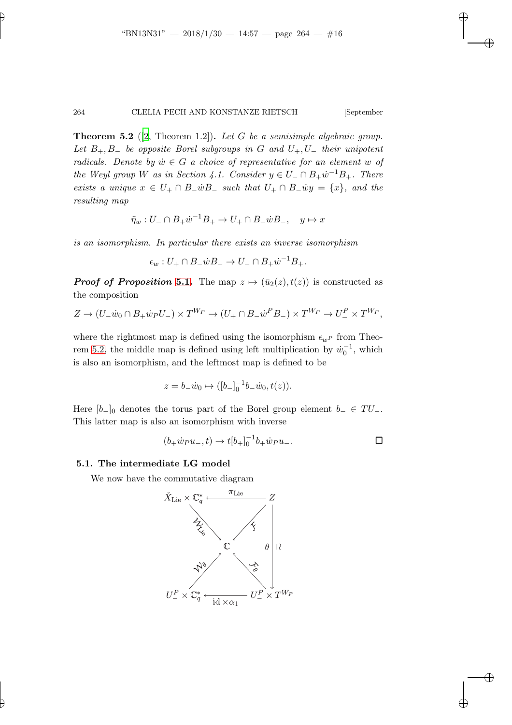**Theorem 5.2** ([\[2](#page-41-6), Theorem 1.2]). Let G be a semisimple algebraic group. Let  $B_+, B_-$  be opposite Borel subgroups in G and  $U_+, U_-$  their unipotent radicals. Denote by  $\dot{w} \in G$  a choice of representative for an element w of the Weyl group W as in Section 4.1. Consider  $y \in U_-\cap B_+\dot{w}^{-1}B_+$ . There exists a unique  $x \in U_+ \cap B_- \dot{w} B_-$  such that  $U_+ \cap B_- \dot{w} y = \{x\}$ , and the resulting map

$$
\tilde{\eta}_w : U_- \cap B_+ \dot{w}^{-1} B_+ \to U_+ \cap B_- \dot{w} B_-, \quad y \mapsto x
$$

is an isomorphism. In particular there exists an inverse isomorphism

$$
\epsilon_w: U_+ \cap B_- \dot{w} B_- \to U_- \cap B_+ \dot{w}^{-1} B_+.
$$

**Proof of Proposition [5.1.](#page-14-0)** The map  $z \mapsto (\bar{u}_2(z), t(z))$  is constructed as the composition

$$
Z \to (U_- \dot{w}_0 \cap B_+ \dot{w}_P U_-) \times T^{W_P} \to (U_+ \cap B_- \dot{w}^P B_-) \times T^{W_P} \to U_-^P \times T^{W_P},
$$

where the rightmost map is defined using the isomorphism  $\epsilon_{w^P}$  from Theo-rem [5.2,](#page-14-1) the middle map is defined using left multiplication by  $\dot{w}_0^{-1}$ , which is also an isomorphism, and the leftmost map is defined to be

$$
z = b_{-} \dot{w}_0 \mapsto ([b_{-}]_0^{-1} b_{-} \dot{w}_0, t(z)).
$$

Here  $[b_+]$  denotes the torus part of the Borel group element  $b_-\in TU_-\$ . This latter map is also an isomorphism with inverse

$$
(b_+ \dot w_P u_-, t) \to t [b_+]_0^{-1} b_+ \dot w_P u_-.
$$

#### 5.1. The intermediate LG model

We now have the commutative diagram

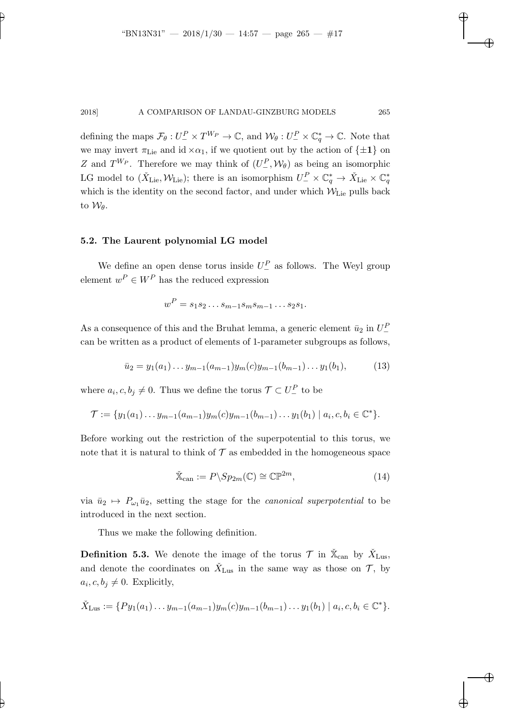defining the maps  $\mathcal{F}_{\theta}: U^P_{-} \times T^{W_P} \to \mathbb{C}$ , and  $\mathcal{W}_{\theta}: U^P_{-} \times \mathbb{C}^*_q \to \mathbb{C}$ . Note that we may invert  $\pi_{\text{Lie}}$  and id  $\times \alpha_1$ , if we quotient out by the action of  $\{\pm 1\}$  on Z and  $T^{W_P}$ . Therefore we may think of  $(U^P_-, \mathcal{W}_\theta)$  as being an isomorphic LG model to  $(\check{X}_{\text{Lie}}, \mathcal{W}_{\text{Lie}})$ ; there is an isomorphism  $U_{-}^P \times \mathbb{C}_q^* \to \check{X}_{\text{Lie}} \times \mathbb{C}_q^*$ which is the identity on the second factor, and under which  $W_{Lie}$  pulls back to  $\mathcal{W}_{\theta}$ .

### 5.2. The Laurent polynomial LG model

We define an open dense torus inside  $U^P_{-}$  as follows. The Weyl group element  $w^P \in W^P$  has the reduced expression

<span id="page-16-2"></span>
$$
w^P = s_1 s_2 \dots s_{m-1} s_m s_{m-1} \dots s_2 s_1.
$$

As a consequence of this and the Bruhat lemma, a generic element  $\bar{u}_2$  in  $U^P_{-}$ can be written as a product of elements of 1-parameter subgroups as follows,

$$
\bar{u}_2 = y_1(a_1) \dots y_{m-1}(a_{m-1}) y_m(c) y_{m-1}(b_{m-1}) \dots y_1(b_1), \tag{13}
$$

where  $a_i, c, b_j \neq 0$ . Thus we define the torus  $\mathcal{T} \subset U^P_-$  to be

$$
\mathcal{T} := \{y_1(a_1) \dots y_{m-1}(a_{m-1})y_m(c)y_{m-1}(b_{m-1}) \dots y_1(b_1) \mid a_i, c, b_i \in \mathbb{C}^*\}.
$$

Before working out the restriction of the superpotential to this torus, we note that it is natural to think of  $\mathcal T$  as embedded in the homogeneous space

<span id="page-16-0"></span>
$$
\check{\mathbb{X}}_{\text{can}} := P \backslash Sp_{2m}(\mathbb{C}) \cong \mathbb{CP}^{2m},\tag{14}
$$

via  $\bar{u}_2 \mapsto P_{\omega_1} \bar{u}_2$ , setting the stage for the *canonical superpotential* to be introduced in the next section.

<span id="page-16-1"></span>Thus we make the following definition.

**Definition 5.3.** We denote the image of the torus  $\mathcal{T}$  in  $\check{\mathbb{X}}_{\text{can}}$  by  $\check{X}_{\text{Lus}}$ , and denote the coordinates on  $\check{X}_{\text{Lus}}$  in the same way as those on  $\mathcal{T}$ , by  $a_i, c, b_j \neq 0$ . Explicitly,

$$
\check{X}_{\text{Lus}} := \{ Py_1(a_1) \dots y_{m-1}(a_{m-1}) y_m(c) y_{m-1}(b_{m-1}) \dots y_1(b_1) \mid a_i, c, b_i \in \mathbb{C}^* \}.
$$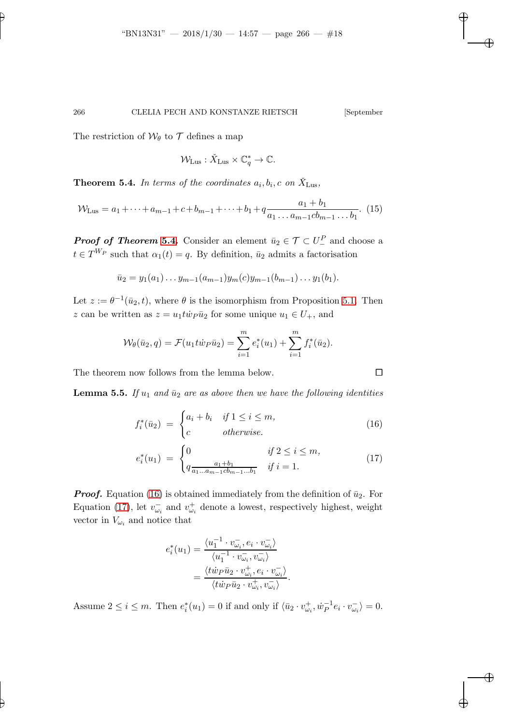The restriction of  $\mathcal{W}_{\theta}$  to  $\mathcal{T}$  defines a map

$$
\mathcal{W}_{\text{Lus}} : \check{X}_{\text{Lus}} \times \mathbb{C}_q^* \to \mathbb{C}.
$$

<span id="page-17-0"></span>**Theorem 5.4.** In terms of the coordinates  $a_i, b_i, c$  on  $\check{X}_{\text{Lus}},$ 

$$
\mathcal{W}_{\text{Lus}} = a_1 + \dots + a_{m-1} + c + b_{m-1} + \dots + b_1 + q \frac{a_1 + b_1}{a_1 \dots a_{m-1} c b_{m-1} \dots b_1}.
$$
 (15)

**Proof of Theorem [5.4.](#page-17-0)** Consider an element  $\bar{u}_2 \in \mathcal{T} \subset U^P$  and choose a  $t \in T^{W_P}$  such that  $\alpha_1(t) = q$ . By definition,  $\bar{u}_2$  admits a factorisation

$$
\bar{u}_2 = y_1(a_1) \dots y_{m-1}(a_{m-1}) y_m(c) y_{m-1}(b_{m-1}) \dots y_1(b_1).
$$

Let  $z := \theta^{-1}(\bar{u}_2, t)$ , where  $\theta$  is the isomorphism from Proposition [5.1.](#page-14-0) Then z can be written as  $z = u_1 t \dot{w}_P \bar{u}_2$  for some unique  $u_1 \in U_+$ , and

$$
\mathcal{W}_{\theta}(\bar{u}_2, q) = \mathcal{F}(u_1 t \dot{w}_P \bar{u}_2) = \sum_{i=1}^m e_i^*(u_1) + \sum_{i=1}^m f_i^*(\bar{u}_2).
$$

The theorem now follows from the lemma below.

**Lemma 5.5.** If  $u_1$  and  $\bar{u}_2$  are as above then we have the following identities

<span id="page-17-1"></span>
$$
f_i^*(\bar{u}_2) = \begin{cases} a_i + b_i & \text{if } 1 \le i \le m, \\ c & \text{otherwise.} \end{cases}
$$
 (16)

$$
e_i^*(u_1) = \begin{cases} 0 & \text{if } 2 \le i \le m, \\ q_{\frac{a_1 + b_1}{a_1 \dots a_{m-1} cb_{m-1} \dots b_1}} & \text{if } i = 1. \end{cases}
$$
(17)

**Proof.** Equation [\(16\)](#page-17-1) is obtained immediately from the definition of  $\bar{u}_2$ . For Equation [\(17\)](#page-17-1), let  $v_{\omega_i}^-$  and  $v_{\omega_i}^+$  denote a lowest, respectively highest, weight vector in  $V_{\omega_i}$  and notice that

$$
e_i^*(u_1) = \frac{\langle u_1^{-1} \cdot v_{\omega_i}^-, e_i \cdot v_{\omega_i}^- \rangle}{\langle u_1^{-1} \cdot v_{\omega_i}^-, v_{\omega_i}^- \rangle}
$$
  
= 
$$
\frac{\langle t \dot{w}_P \bar{u}_2 \cdot v_{\omega_i}^+, e_i \cdot v_{\omega_i}^- \rangle}{\langle t \dot{w}_P \bar{u}_2 \cdot v_{\omega_i}^+, v_{\omega_i}^- \rangle}.
$$

Assume  $2 \leq i \leq m$ . Then  $e_i^*(u_1) = 0$  if and only if  $\langle \bar{u}_2 \cdot v_{\omega_i}^+, \dot{w}_P^{-1} \rangle$  $\overline{P}^1 e_i \cdot v_{\omega_i}^- \rangle = 0.$ 

$$
\qquad \qquad \Box
$$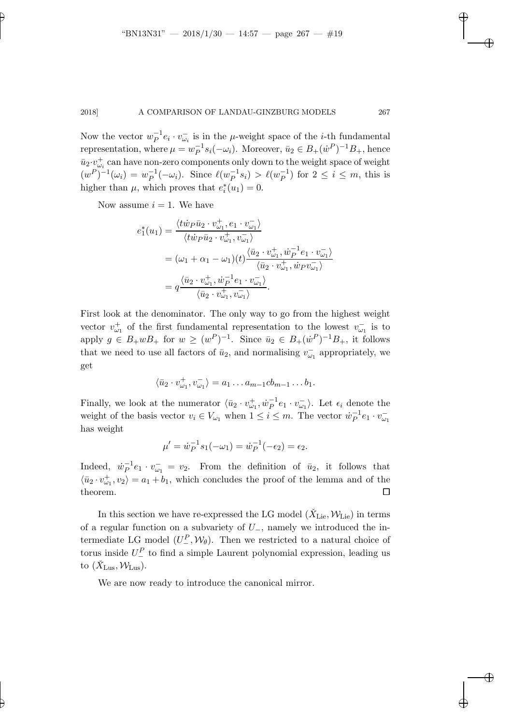Now the vector  $w_P^{-1}e_i \cdot v_{\omega_i}^-$  is in the  $\mu$ -weight space of the *i*-th fundamental representation, where  $\mu = w_P^{-1}$  $P^{-1} s_i(-\omega_i)$ . Moreover,  $\bar{u}_2 \in B_+(\dot{w}^P)^{-1}B_+$ , hence  $\bar{u}_2 \cdot v_{\omega_i}^+$  can have non-zero components only down to the weight space of weight  $(w^P)^{-1}(\omega_i) = w_P^{-1}$  $_P^{-1}(-\omega_i)$ . Since  $\ell(w_P^{-1})$  $\bar{P}^{-1}s_i$ ) >  $\ell(w_P^{-1})$  $\overline{P}^1$ ) for  $2 \leq i \leq m$ , this is higher than  $\mu$ , which proves that  $e_i^*(u_1) = 0$ .

Now assume  $i = 1$ . We have

$$
e_1^*(u_1) = \frac{\langle t\dot{w}_P\bar{u}_2 \cdot v_{\omega_1}^+, e_1 \cdot v_{\omega_1}^- \rangle}{\langle t\dot{w}_P\bar{u}_2 \cdot v_{\omega_1}^+, v_{\omega_1}^- \rangle}
$$
  
=  $(\omega_1 + \alpha_1 - \omega_1)(t) \frac{\langle \bar{u}_2 \cdot v_{\omega_1}^+, \dot{w}_P^{-1}e_1 \cdot v_{\omega_1}^- \rangle}{\langle \bar{u}_2 \cdot v_{\omega_1}^+, \dot{w}_P v_{\omega_1}^- \rangle}$   
=  $q \frac{\langle \bar{u}_2 \cdot v_{\omega_1}^+, \dot{w}_P^{-1}e_1 \cdot v_{\omega_1}^- \rangle}{\langle \bar{u}_2 \cdot v_{\omega_1}^+, v_{\omega_1}^- \rangle}.$ 

First look at the denominator. The only way to go from the highest weight vector  $v_{\omega_1}^+$  of the first fundamental representation to the lowest  $v_{\omega_1}^-$  is to apply  $g \in B_+ w B_+$  for  $w \geq (w^P)^{-1}$ . Since  $\bar{u}_2 \in B_+ (\dot{w}^P)^{-1} B_+$ , it follows that we need to use all factors of  $\bar{u}_2$ , and normalising  $v_{\omega_1}^-$  appropriately, we get

$$
\langle \bar{u}_2 \cdot v_{\omega_1}^+, v_{\omega_1}^- \rangle = a_1 \dots a_{m-1}cb_{m-1} \dots b_1.
$$

Finally, we look at the numerator  $\langle \bar{u}_2 \cdot v_{\omega_1}^+, \dot{w}_P^{-1} \rangle$  $\bar{P}^1e_1\cdot v_{\omega_1}^-\rangle$ . Let  $\epsilon_i$  denote the weight of the basis vector  $v_i \in V_{\omega_1}$  when  $1 \leq i \leq m$ . The vector  $\dot{w}_P^{-1}$  $_P^{-1}e_1\cdot v_{\omega_1}^$ has weight

$$
\mu' = \dot{w}_P^{-1} s_1(-\omega_1) = \dot{w}_P^{-1}(-\epsilon_2) = \epsilon_2.
$$

Indeed,  $\dot{w}_P^{-1}$  $P^{-1}e_1 \cdot v_{\omega_1} = v_2$ . From the definition of  $\bar{u}_2$ , it follows that  $\langle \bar{u}_2 \cdot v_{\omega_1}^+, v_2 \rangle = a_1 + b_1$ , which concludes the proof of the lemma and of the theorem.  $\Box$ 

In this section we have re-expressed the LG model  $(\check{X}_{\mathrm{Lie}}, \mathcal{W}_{\mathrm{Lie}})$  in terms of a regular function on a subvariety of U−, namely we introduced the intermediate LG model  $(U^P_-, \mathcal{W}_\theta)$ . Then we restricted to a natural choice of torus inside  $U^P_{-}$  to find a simple Laurent polynomial expression, leading us to  $(\check{X}_{\text{Lus}}, \mathcal{W}_{\text{Lus}})$ .

We are now ready to introduce the canonical mirror.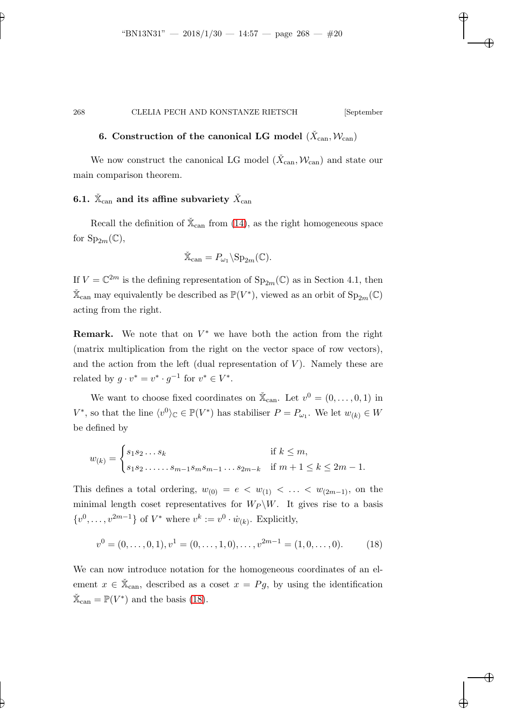# 6. Construction of the canonical LG model  $(\check{X}_{\mathrm{can}}, \mathcal{W}_{\mathrm{can}})$

We now construct the canonical LG model  $(\check{X}_{\mathrm{can}}, \mathcal{W}_{\mathrm{can}})$  and state our main comparison theorem.

# 6.1.  $\check{\mathbb{X}}_\mathrm{can}$  and its affine subvariety  $\check{X}_\mathrm{can}$

Recall the definition of  $\mathbb{X}_{\text{can}}$  from [\(14\)](#page-16-0), as the right homogeneous space for  $Sp_{2m}(\mathbb{C}),$ 

$$
\check{\mathbb{X}}_{\operatorname{can}} = P_{\omega_1} \backslash \operatorname{Sp}_{2m}(\mathbb{C}).
$$

If  $V = \mathbb{C}^{2m}$  is the defining representation of  $Sp_{2m}(\mathbb{C})$  as in Section 4.1, then  $\mathbb{X}_{\mathrm{can}}$  may equivalently be described as  $\mathbb{P}(V^*)$ , viewed as an orbit of  $\mathrm{Sp}_{2m}(\mathbb{C})$ acting from the right.

**Remark.** We note that on  $V^*$  we have both the action from the right (matrix multiplication from the right on the vector space of row vectors), and the action from the left (dual representation of  $V$ ). Namely these are related by  $g \cdot v^* = v^* \cdot g^{-1}$  for  $v^* \in V^*$ .

We want to choose fixed coordinates on  $\mathbb{X}_{\text{can}}$ . Let  $v^0 = (0, \ldots, 0, 1)$  in  $V^*$ , so that the line  $\langle v^0 \rangle_{\mathbb{C}} \in \mathbb{P}(V^*)$  has stabiliser  $P = P_{\omega_1}$ . We let  $w_{(k)} \in W$ be defined by

$$
w_{(k)} = \begin{cases} s_1 s_2 \dots s_k & \text{if } k \le m, \\ s_1 s_2 \dots \dots s_{m-1} s_m s_{m-1} \dots s_{2m-k} & \text{if } m+1 \le k \le 2m-1. \end{cases}
$$

This defines a total ordering,  $w_{(0)} = e \langle w_{(1)} \rangle \langle \dots \rangle \langle w_{(2m-1)} \rangle$ , on the minimal length coset representatives for  $W_P \backslash W$ . It gives rise to a basis  $\{v^0, \ldots, v^{2m-1}\}\$  of  $V^*$  where  $v^k := v^0 \cdot \dot{w}_{(k)}$ . Explicitly,

<span id="page-19-0"></span>
$$
v^{0} = (0, ..., 0, 1), v^{1} = (0, ..., 1, 0), ..., v^{2m-1} = (1, 0, ..., 0).
$$
 (18)

<span id="page-19-1"></span>We can now introduce notation for the homogeneous coordinates of an element  $x \in \check{X}_{can}$ , described as a coset  $x = Pg$ , by using the identification  $\check{\mathbb{X}}_{\text{can}} = \mathbb{P}(V^*)$  and the basis [\(18\)](#page-19-0).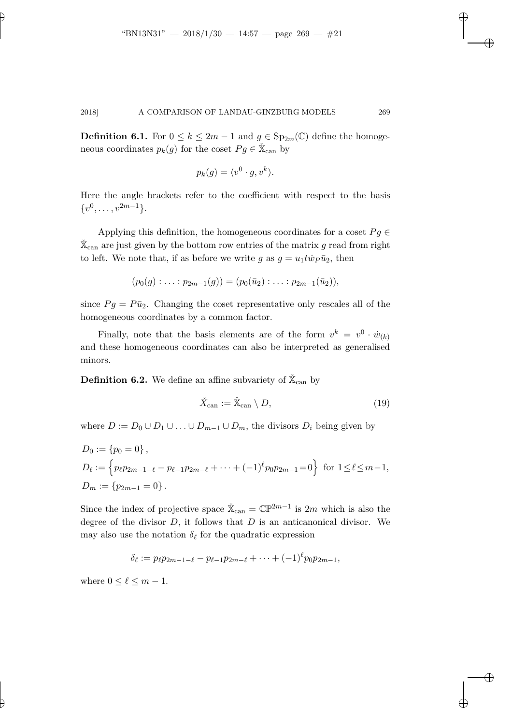**Definition 6.1.** For  $0 \le k \le 2m - 1$  and  $g \in \text{Sp}_{2m}(\mathbb{C})$  define the homogeneous coordinates  $p_k(g)$  for the coset  $Pg \in \mathbb{X}_{\text{can}}$  by

$$
p_k(g) = \langle v^0 \cdot g, v^k \rangle.
$$

Here the angle brackets refer to the coefficient with respect to the basis  $\{v^0, \ldots, v^{2m-1}\}.$ 

Applying this definition, the homogeneous coordinates for a coset  $Pg \in$  $\check{\mathbb{X}}_{\operatorname{can}}$  are just given by the bottom row entries of the matrix g read from right to left. We note that, if as before we write g as  $g = u_1 t \dot{w}_P \bar{u}_2$ , then

$$
(p_0(g) : \ldots : p_{2m-1}(g)) = (p_0(\bar{u}_2) : \ldots : p_{2m-1}(\bar{u}_2)),
$$

since  $Pg = P\bar{u}_2$ . Changing the coset representative only rescales all of the homogeneous coordinates by a common factor.

Finally, note that the basis elements are of the form  $v^k = v^0 \cdot \dot{w}_{(k)}$ and these homogeneous coordinates can also be interpreted as generalised minors.

<span id="page-20-0"></span>**Definition 6.2.** We define an affine subvariety of  $\check{\mathbb{X}}_{\text{can}}$  by

$$
\check{X}_{\text{can}} := \check{\mathbb{X}}_{\text{can}} \setminus D,\tag{19}
$$

where  $D := D_0 \cup D_1 \cup ... \cup D_{m-1} \cup D_m$ , the divisors  $D_i$  being given by

$$
D_0 := \{p_0 = 0\},
$$
  
\n
$$
D_{\ell} := \left\{ p_{\ell} p_{2m-1-\ell} - p_{\ell-1} p_{2m-\ell} + \dots + (-1)^{\ell} p_0 p_{2m-1} = 0 \right\}
$$
 for  $1 \le \ell \le m-1$ ,  
\n
$$
D_m := \{ p_{2m-1} = 0 \}.
$$

Since the index of projective space  $\check{\mathbb{X}}_{\text{can}} = \mathbb{CP}^{2m-1}$  is  $2m$  which is also the degree of the divisor  $D$ , it follows that  $D$  is an anticanonical divisor. We may also use the notation  $\delta_{\ell}$  for the quadratic expression

$$
\delta_{\ell} := p_{\ell} p_{2m-1-\ell} - p_{\ell-1} p_{2m-\ell} + \cdots + (-1)^{\ell} p_0 p_{2m-1},
$$

where  $0 \leq \ell \leq m-1$ .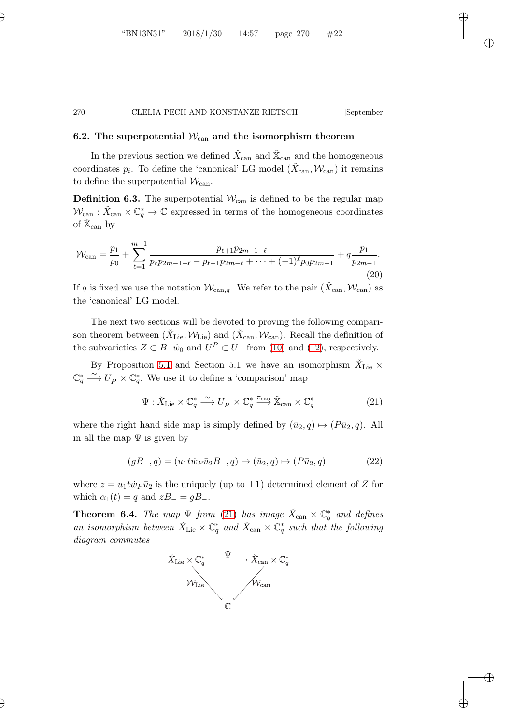### 6.2. The superpotential  $W_{\text{can}}$  and the isomorphism theorem

In the previous section we defined  $\check{X}_{\mathrm{can}}$  and  $\check{\mathbb{X}}_{\mathrm{can}}$  and the homogeneous coordinates  $p_i$ . To define the 'canonical' LG model  $(\check{X}_{\text{can}}, \mathcal{W}_{\text{can}})$  it remains to define the superpotential  $\mathcal{W}_{\mathrm{can}}$ .

**Definition 6.3.** The superpotential  $W_{\text{can}}$  is defined to be the regular map  $\mathcal{W}_{\mathrm{can}} : \check{X}_{\mathrm{can}} \times \mathbb{C}^*_q \to \mathbb{C}$  expressed in terms of the homogeneous coordinates of  $\check{\mathbb{X}}_{\operatorname{can}}$  by

<span id="page-21-2"></span>
$$
\mathcal{W}_{\text{can}} = \frac{p_1}{p_0} + \sum_{\ell=1}^{m-1} \frac{p_{\ell+1}p_{2m-1-\ell}}{p_{\ell}p_{2m-1-\ell} - p_{\ell-1}p_{2m-\ell} + \dots + (-1)^{\ell}p_0p_{2m-1}} + q\frac{p_1}{p_{2m-1}}.
$$
\n(20)

If q is fixed we use the notation  $\mathcal{W}_{\text{can},q}$ . We refer to the pair  $(\check{X}_{\text{can}}, \mathcal{W}_{\text{can}})$  as the 'canonical' LG model.

The next two sections will be devoted to proving the following comparison theorem between  $(\check{X}_{\text{Lie}}, \mathcal{W}_{\text{Lie}})$  and  $(\check{X}_{\text{can}}, \mathcal{W}_{\text{can}})$ . Recall the definition of the subvarieties  $Z \subset B_-\dot{w}_0$  and  $U_-^P \subset U_-$  from [\(10\)](#page-13-0) and [\(12\)](#page-14-2), respectively.

By Proposition [5.1](#page-14-0) and Section 5.1 we have an isomorphism  $\check{X}_{\text{Lie}}$   $\times$  $\mathbb{C}_q^* \xrightarrow{\sim} U_P^- \times \mathbb{C}_q^*$ . We use it to define a 'comparison' map

<span id="page-21-0"></span>
$$
\Psi: \check{X}_{\mathrm{Lie}} \times \mathbb{C}_q^* \xrightarrow{\sim} U_P^- \times \mathbb{C}_q^* \xrightarrow{\pi_{\mathrm{can}}} \check{X}_{\mathrm{can}} \times \mathbb{C}_q^* \tag{21}
$$

where the right hand side map is simply defined by  $(\bar{u}_2, q) \mapsto (P\bar{u}_2, q)$ . All in all the map  $\Psi$  is given by

$$
(gB_-, q) = (u_1 t \dot{w}_P \bar{u}_2 B_-, q) \mapsto (\bar{u}_2, q) \mapsto (P \bar{u}_2, q), \tag{22}
$$

<span id="page-21-1"></span>where  $z = u_1 t \dot{w}_P \bar{u}_2$  is the uniquely (up to  $\pm 1$ ) determined element of Z for which  $\alpha_1(t) = q$  and  $zB_ - = gB_$ .

**Theorem 6.4.** The map  $\Psi$  from [\(21\)](#page-21-0) has image  $\check{X}_{\text{can}} \times \mathbb{C}_q^*$  and defines an isomorphism between  $\check{X}_{\text{Lie}} \times \mathbb{C}^*_{q}$  and  $\check{X}_{\text{can}} \times \mathbb{C}^*_{q}$  such that the following diagram commutes

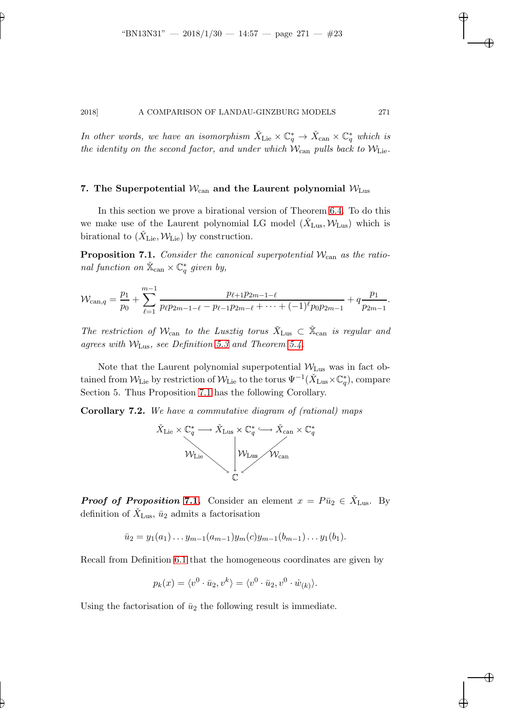In other words, we have an isomorphism  $\check{X}_{\text{Lie}} \times \mathbb{C}_q^* \to \check{X}_{\text{can}} \times \mathbb{C}_q^*$  which is the identity on the second factor, and under which  $W_{\text{can}}$  pulls back to  $W_{\text{Lie}}$ .

### 7. The Superpotential  $W_{\text{can}}$  and the Laurent polynomial  $W_{\text{Lus}}$

In this section we prove a birational version of Theorem [6.4.](#page-21-1) To do this we make use of the Laurent polynomial LG model  $(\check{X}_{\text{Lus}}, \mathcal{W}_{\text{Lus}})$  which is birational to  $(\check{X}_{\text{Lie}}, \mathcal{W}_{\text{Lie}})$  by construction.

<span id="page-22-0"></span>**Proposition 7.1.** Consider the canonical superpotential  $\mathcal{W}_{\text{can}}$  as the rational function on  $\mathbb{X}_{\text{can}} \times \mathbb{C}_q^*$  given by,

$$
\mathcal{W}_{\text{can},q} = \frac{p_1}{p_0} + \sum_{\ell=1}^{m-1} \frac{p_{\ell+1}p_{2m-1-\ell}}{p_{\ell}p_{2m-1-\ell} - p_{\ell-1}p_{2m-\ell} + \cdots + (-1)^{\ell}p_0p_{2m-1}} + q\frac{p_1}{p_{2m-1}}.
$$

The restriction of  $\mathcal{W}_{\text{can}}$  to the Lusztig torus  $\check{X}_{\text{Lus}} \subset \check{X}_{\text{can}}$  is regular and agrees with  $W_{\text{Lus}}$ , see Definition [5.3](#page-16-1) and Theorem [5.4.](#page-17-0)

Note that the Laurent polynomial superpotential  $\mathcal{W}_{\text{Lus}}$  was in fact obtained from  $\mathcal{W}_{\rm Lie}$  by restriction of  $\mathcal{W}_{\rm Lie}$  to the torus  $\Psi^{-1}(\check{X}_{\rm Lus}\times \mathbb{C}^{*}_q)$ , compare Section 5. Thus Proposition [7.1](#page-22-0) has the following Corollary.

<span id="page-22-1"></span>Corollary 7.2. We have a commutative diagram of (rational) maps



**Proof of Proposition [7.1.](#page-22-0)** Consider an element  $x = P\bar{u}_2 \in \check{X}_{\text{Lus}}$ . By definition of  $\check{X}_{\text{Lus}}, \bar{u}_2$  admits a factorisation

$$
\bar{u}_2 = y_1(a_1) \dots y_{m-1}(a_{m-1}) y_m(c) y_{m-1}(b_{m-1}) \dots y_1(b_1).
$$

Recall from Definition [6.1](#page-19-1) that the homogeneous coordinates are given by

$$
p_k(x) = \langle v^0 \cdot \bar{u}_2, v^k \rangle = \langle v^0 \cdot \bar{u}_2, v^0 \cdot \dot{w}_{(k)} \rangle.
$$

Using the factorisation of  $\bar{u}_2$  the following result is immediate.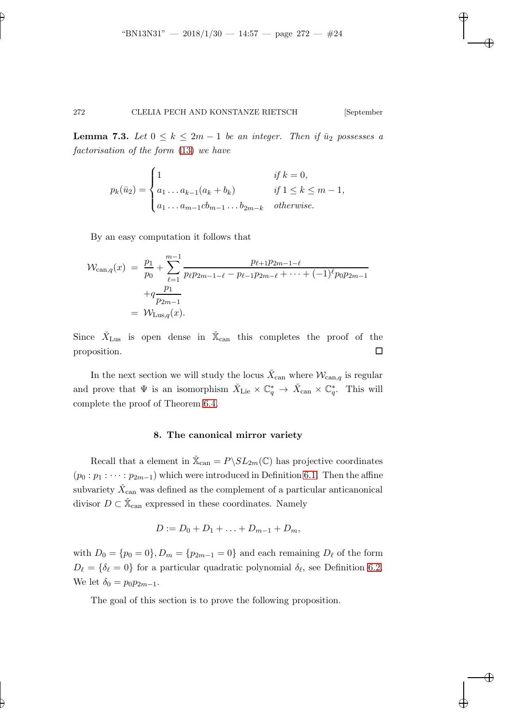**Lemma 7.3.** Let  $0 \leq k \leq 2m-1$  be an integer. Then if  $\bar{u}_2$  possesses a factorisation of the form [\(13\)](#page-16-2) we have

$$
p_k(\bar{u}_2) = \begin{cases} 1 & \text{if } k = 0, \\ a_1 \dots a_{k-1}(a_k + b_k) & \text{if } 1 \le k \le m - 1, \\ a_1 \dots a_{m-1}cb_{m-1} \dots b_{2m-k} & otherwise. \end{cases}
$$

By an easy computation it follows that

$$
\mathcal{W}_{\text{can},q}(x) = \frac{p_1}{p_0} + \sum_{\ell=1}^{m-1} \frac{p_{\ell+1}p_{2m-1-\ell}}{p_{\ell}p_{2m-1-\ell} - p_{\ell-1}p_{2m-\ell} + \dots + (-1)^{\ell}p_0p_{2m-1}} \n+ q \frac{p_1}{p_{2m-1}} \n= \mathcal{W}_{\text{Lus},q}(x).
$$

Since  $\check{X}_{\text{Lus}}$  is open dense in  $\check{X}_{\text{can}}$  this completes the proof of the proposition.

In the next section we will study the locus  $\check{X}_{\text{can}}$  where  $\mathcal{W}_{\text{can},q}$  is regular and prove that  $\Psi$  is an isomorphism  $\check{X}_{\text{Lie}} \times \mathbb{C}_q^* \to \check{X}_{\text{can}} \times \mathbb{C}_q^*$ . This will complete the proof of Theorem [6.4.](#page-21-1)

### 8. The canonical mirror variety

Recall that a element in  $\check{\mathbb{X}}_{\text{can}} = P \backslash SL_{2m}(\mathbb{C})$  has projective coordinates  $(p_0 : p_1 : \cdots : p_{2m-1})$  which were introduced in Definition [6.1.](#page-19-1) Then the affine subvariety  $\check{X}_{\mathrm{can}}$  was defined as the complement of a particular anticanonical divisor  $D \subset \check{\mathbb{X}}_{\text{can}}$  expressed in these coordinates. Namely

$$
D := D_0 + D_1 + \ldots + D_{m-1} + D_m,
$$

with  $D_0 = \{p_0 = 0\}$ ,  $D_m = \{p_{2m-1} = 0\}$  and each remaining  $D_\ell$  of the form  $D_{\ell} = \{\delta_{\ell} = 0\}$  for a particular quadratic polynomial  $\delta_{\ell}$ , see Definition [6.2.](#page-20-0) We let  $\delta_0 = p_0 p_{2m-1}$ .

<span id="page-23-0"></span>The goal of this section is to prove the following proposition.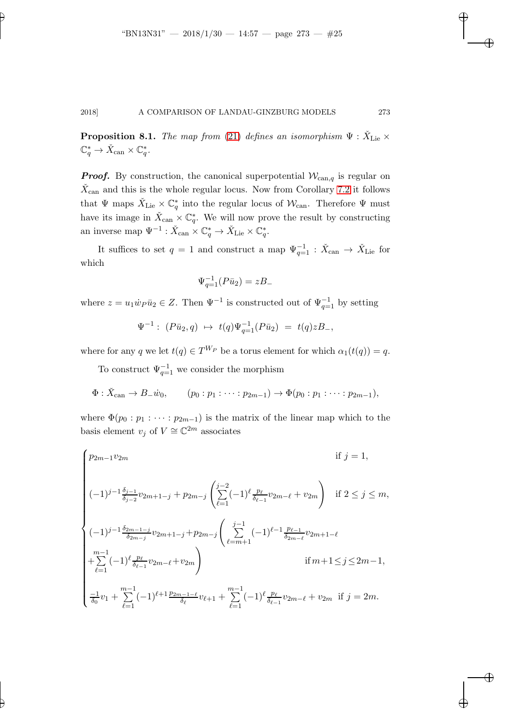**Proposition 8.1.** The map from [\(21\)](#page-21-0) defines an isomorphism  $\Psi$  :  $\check{X}_{\text{Lie}} \times$  $\mathbb{C}_q^* \to \check{X}_{\operatorname{can}} \times \mathbb{C}_q^*.$ 

**Proof.** By construction, the canonical superpotential  $W_{\text{can},q}$  is regular on  $\check{X}_{\text{can}}$  and this is the whole regular locus. Now from Corollary [7.2](#page-22-1) it follows that  $\Psi$  maps  $\check{X}_{\text{Lie}} \times \mathbb{C}^*_{q}$  into the regular locus of  $\mathcal{W}_{\text{can}}$ . Therefore  $\Psi$  must have its image in  $\check{X}_{\text{can}} \times \mathbb{C}^*_{q}$ . We will now prove the result by constructing an inverse map  $\Psi^{-1} : \check{X}_{\text{can}} \times \mathbb{C}_q^* \to \check{X}_{\text{Lie}} \times \mathbb{C}_q^*$ .

It suffices to set  $q = 1$  and construct a map  $\Psi_{q=1}^{-1} : \check{X}_{\operatorname{can}} \to \check{X}_{\operatorname{Lie}}$  for which

$$
\Psi_{q=1}^{-1}(P\bar{u}_2) = zB_-
$$

where  $z = u_1 \dot{w}_P \bar{u}_2 \in Z$ . Then  $\Psi^{-1}$  is constructed out of  $\Psi_{q=1}^{-1}$  by setting

$$
\Psi^{-1}:\ (P\bar u_2,q)\ \mapsto\ t(q)\Psi_{q=1}^{-1}(P\bar u_2)\ =\ t(q)zB_-,
$$

where for any q we let  $t(q) \in T^{W_P}$  be a torus element for which  $\alpha_1(t(q)) = q$ .

To construct  $\Psi_{q=1}^{-1}$  we consider the morphism

$$
\Phi: \check{X}_{\text{can}} \to B_{-} \dot{w}_0, \qquad (p_0:p_1:\cdots:p_{2m-1}) \to \Phi(p_0:p_1:\cdots:p_{2m-1}),
$$

where  $\Phi(p_0 : p_1 : \cdots : p_{2m-1})$  is the matrix of the linear map which to the basis element  $v_j$  of  $V \cong \mathbb{C}^{2m}$  associates

$$
\begin{cases}\np_{2m-1}v_{2m} & \text{if } j = 1, \\
(-1)^{j-1}\frac{\delta_{j-1}}{\delta_{j-2}}v_{2m+1-j} + p_{2m-j}\left(\sum_{\ell=1}^{j-2}(-1)^{\ell}\frac{p_{\ell}}{\delta_{\ell-1}}v_{2m-\ell} + v_{2m}\right) & \text{if } 2 \leq j \leq m, \\
(-1)^{j-1}\frac{\delta_{2m-1-j}}{\delta_{2m-j}}v_{2m+1-j} + p_{2m-j}\left(\sum_{\ell=m+1}^{j-1}(-1)^{\ell-1}\frac{p_{\ell-1}}{\delta_{2m-\ell}}v_{2m+1-\ell} + \sum_{\ell=1}^{m-1}(-1)^{\ell}\frac{p_{\ell}}{\delta_{\ell-1}}v_{2m-\ell} + v_{2m}\right) & \text{if } m+1 \leq j \leq 2m-1, \\
\frac{-1}{\delta_0}v_1 + \sum_{\ell=1}^{m-1}(-1)^{\ell+1}\frac{p_{2m-1-\ell}}{\delta_{\ell}}v_{\ell+1} + \sum_{\ell=1}^{m-1}(-1)^{\ell}\frac{p_{\ell}}{\delta_{\ell-1}}v_{2m-\ell} + v_{2m} & \text{if } j = 2m.\n\end{cases}
$$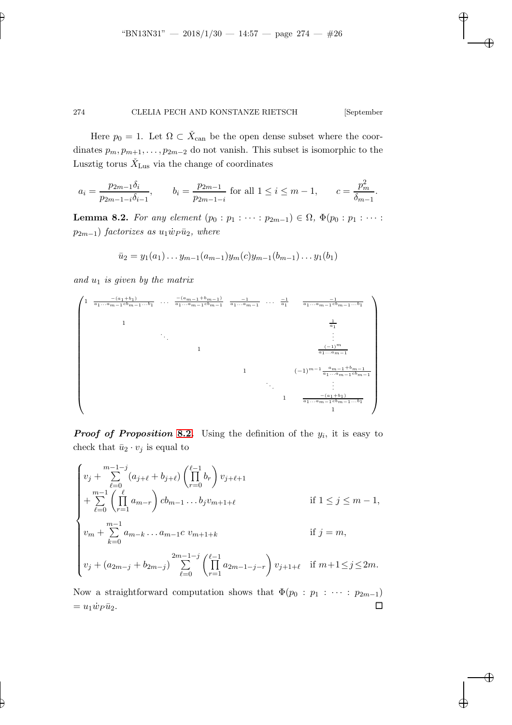Here  $p_0 = 1$ . Let  $\Omega \subset \check{X}_{\text{can}}$  be the open dense subset where the coordinates  $p_m, p_{m+1}, \ldots, p_{2m-2}$  do not vanish. This subset is isomorphic to the Lusztig torus  $\check{X}_{\text{Lus}}$  via the change of coordinates

$$
a_i = \frac{p_{2m-1}\delta_i}{p_{2m-1-i}\delta_{i-1}}, \qquad b_i = \frac{p_{2m-1}}{p_{2m-1-i}} \text{ for all } 1 \le i \le m-1, \qquad c = \frac{p_m^2}{\delta_{m-1}}.
$$

<span id="page-25-0"></span>Lemma 8.2. For any element  $(p_0 : p_1 : \cdots : p_{2m-1}) \in \Omega$ ,  $\Phi(p_0 : p_1 : \cdots : p_{2m-1})$  $p_{2m-1}$ ) factorizes as  $u_1 \dot{w}_P \bar{u}_2$ , where

$$
\bar{u}_2 = y_1(a_1) \dots y_{m-1}(a_{m-1}) y_m(c) y_{m-1}(b_{m-1}) \dots y_1(b_1)
$$

and  $u_1$  is given by the matrix



**Proof of Proposition [8.2.](#page-25-0)** Using the definition of the  $y_i$ , it is easy to check that  $\bar{u}_2 \cdot v_j$  is equal to

$$
\begin{cases}\nv_j + \sum_{\ell=0}^{m-1-j} (a_{j+\ell} + b_{j+\ell}) \left( \prod_{r=0}^{\ell-1} b_r \right) v_{j+\ell+1} \\
+ \sum_{\ell=0}^{m-1} \left( \prod_{r=1}^{\ell} a_{m-r} \right) cb_{m-1} \dots b_j v_{m+1+\ell} & \text{if } 1 \le j \le m-1, \\
v_m + \sum_{k=0}^{m-1} a_{m-k} \dots a_{m-1} c \ v_{m+1+k} & \text{if } j = m, \\
v_j + (a_{2m-j} + b_{2m-j}) \sum_{\ell=0}^{2m-1-j} \left( \prod_{r=1}^{\ell-1} a_{2m-1-j-r} \right) v_{j+1+\ell} & \text{if } m+1 \le j \le 2m.\n\end{cases}
$$

Now a straightforward computation shows that  $\Phi(p_0 : p_1 : \cdots : p_{2m-1})$  $= u_1 \dot{w}_P \bar{u}_2.$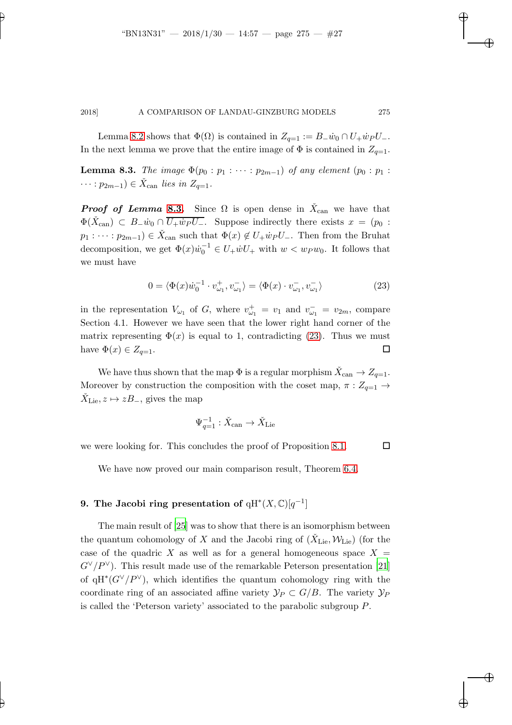<span id="page-26-0"></span>Lemma [8.2](#page-25-0) shows that  $\Phi(\Omega)$  is contained in  $Z_{q=1} := B_{-} \dot{w}_0 \cap U_{+} \dot{w}_P U_{-}$ . In the next lemma we prove that the entire image of  $\Phi$  is contained in  $Z_{q=1}$ .

**Lemma 8.3.** The image  $\Phi(p_0 : p_1 : \cdots : p_{2m-1})$  of any element  $(p_0 : p_1 :$  $\cdots : p_{2m-1}) \in \check{X}_{\text{can}}$  lies in  $Z_{q=1}$ .

**Proof of Lemma [8.3.](#page-26-0)** Since  $\Omega$  is open dense in  $\check{X}_{\text{can}}$  we have that  $\Phi(\check{X}_{\text{can}}) \subset B_{-}\dot{w}_0 \cap \overline{U_{+}\dot{w}_P U_{-}}$ . Suppose indirectly there exists  $x = (p_0 :$  $p_1: \cdots: p_{2m-1}) \in \check{X}_{\text{can}}$  such that  $\Phi(x) \notin U_+ \dot{w}_P U_-.$  Then from the Bruhat decomposition, we get  $\Phi(x)\dot{w}_0^{-1} \in U_+ \dot{w} U_+$  with  $w < w_P w_0$ . It follows that we must have

<span id="page-26-1"></span>
$$
0 = \langle \Phi(x)\dot{w}_0^{-1} \cdot v_{\omega_1}^+, v_{\omega_1}^- \rangle = \langle \Phi(x) \cdot v_{\omega_1}^-, v_{\omega_1}^- \rangle \tag{23}
$$

in the representation  $V_{\omega_1}$  of G, where  $v_{\omega_1}^+ = v_1$  and  $v_{\omega_1}^- = v_{2m}$ , compare Section 4.1. However we have seen that the lower right hand corner of the matrix representing  $\Phi(x)$  is equal to 1, contradicting [\(23\)](#page-26-1). Thus we must have  $\Phi(x) \in Z_{q=1}$ .

We have thus shown that the map  $\Phi$  is a regular morphism  $\check{X}_{\operatorname{can}} \to Z_{q=1}$ . Moreover by construction the composition with the coset map,  $\pi: Z_{q=1} \rightarrow$  $\check{X}_{\mathrm{Lie}}, z \mapsto zB_-,$  gives the map

$$
\Psi_{q=1}^{-1} : \check{X}_{\operatorname{can}} \to \check{X}_{\operatorname{Lie}}
$$

we were looking for. This concludes the proof of Proposition [8.1.](#page-23-0)  $\Box$ 

We have now proved our main comparison result, Theorem [6.4.](#page-21-1)

## 9. The Jacobi ring presentation of  $qH^*(X,\mathbb{C})[q^{-1}]$

The main result of [\[25](#page-42-0)] was to show that there is an isomorphism between the quantum cohomology of X and the Jacobi ring of  $(\check{X}_{\text{Lie}}, \mathcal{W}_{\text{Lie}})$  (for the case of the quadric X as well as for a general homogeneous space  $X =$  $G^{\vee}/P^{\vee}$ ). This result made use of the remarkable Peterson presentation [\[21](#page-42-11)] of qH<sup>\*</sup>( $G^{\vee}/P^{\vee}$ ), which identifies the quantum cohomology ring with the coordinate ring of an associated affine variety  $\mathcal{Y}_P \subset G/B$ . The variety  $\mathcal{Y}_P$ is called the 'Peterson variety' associated to the parabolic subgroup P.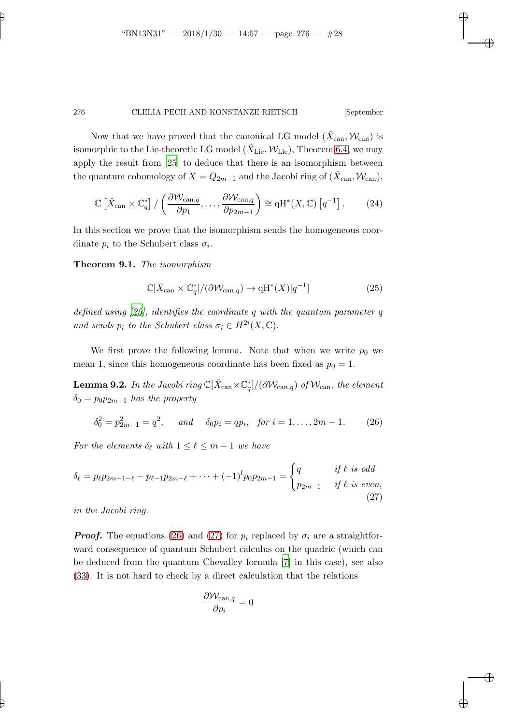Now that we have proved that the canonical LG model  $(\check{X}_{\text{can}}, \mathcal{W}_{\text{can}})$  is isomorphic to the Lie-theoretic LG model  $(\check{X}_{\mathrm{Lie}}, \mathcal{W}_{\mathrm{Lie}})$ , Theorem [6.4,](#page-21-1) we may apply the result from [\[25](#page-42-0)] to deduce that there is an isomorphism between the quantum cohomology of  $X = Q_{2m-1}$  and the Jacobi ring of  $(\check{X}_{\text{can}}, \mathcal{W}_{\text{can}})$ ,

$$
\mathbb{C}\left[\check{X}_{\text{can}} \times \mathbb{C}_q^*\right] / \left(\frac{\partial \mathcal{W}_{\text{can},q}}{\partial p_1}, \dots, \frac{\partial \mathcal{W}_{\text{can},q}}{\partial p_{2m-1}}\right) \cong \mathrm{qH}^*(X, \mathbb{C})\left[q^{-1}\right].\tag{24}
$$

<span id="page-27-2"></span>In this section we prove that the isomorphism sends the homogeneous coordinate  $p_i$  to the Schubert class  $\sigma_i$ .

Theorem 9.1. The isomorphism

<span id="page-27-3"></span>
$$
\mathbb{C}[\check{X}_{\text{can}} \times \mathbb{C}_q^*]/(\partial \mathcal{W}_{\text{can},q}) \to \text{qH}^*(X)[q^{-1}]
$$
\n(25)

defined using [\[25\]](#page-42-0), identifies the coordinate q with the quantum parameter q and sends  $p_i$  to the Schubert class  $\sigma_i \in H^{2i}(X, \mathbb{C})$ .

We first prove the following lemma. Note that when we write  $p_0$  we mean 1, since this homogeneous coordinate has been fixed as  $p_0 = 1$ .

**Lemma 9.2.** In the Jacobi ring  $\mathbb{C}[\check{X}_{\mathrm{can}}\times \mathbb{C}^*_q]/(\partial \mathcal{W}_{\mathrm{can},q})$  of  $\mathcal{W}_{\mathrm{can}},$  the element  $\delta_0 = p_0 p_{2m-1}$  has the property

<span id="page-27-0"></span>
$$
\delta_0^2 = p_{2m-1}^2 = q^2, \quad \text{and} \quad \delta_0 p_i = qp_i, \text{ for } i = 1, \dots, 2m - 1. \tag{26}
$$

For the elements  $\delta_{\ell}$  with  $1 \leq \ell \leq m-1$  we have

$$
\delta_{\ell} = p_{\ell} p_{2m-1-\ell} - p_{\ell-1} p_{2m-\ell} + \dots + (-1)^{l} p_0 p_{2m-1} = \begin{cases} q & \text{if } \ell \text{ is odd} \\ p_{2m-1} & \text{if } \ell \text{ is even,} \end{cases}
$$
\n(27)

in the Jacobi ring.

**Proof.** The equations [\(26\)](#page-27-0) and [\(27\)](#page-27-1) for  $p_i$  replaced by  $\sigma_i$  are a straightforward consequence of quantum Schubert calculus on the quadric (which can be deduced from the quantum Chevalley formula [\[7\]](#page-41-7) in this case), see also [\(33\)](#page-35-0). It is not hard to check by a direct calculation that the relations

<span id="page-27-1"></span>
$$
\frac{\partial \mathcal{W}_{\text{can},q}}{\partial p_i} = 0
$$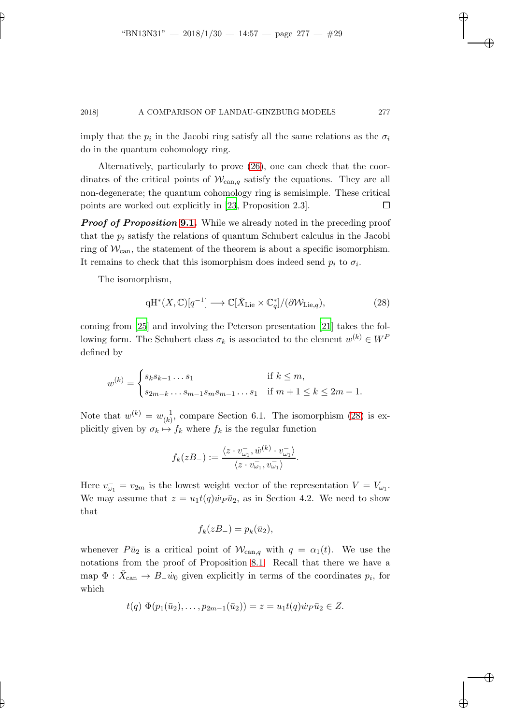imply that the  $p_i$  in the Jacobi ring satisfy all the same relations as the  $\sigma_i$ do in the quantum cohomology ring.

Alternatively, particularly to prove [\(26\)](#page-27-0), one can check that the coordinates of the critical points of  $W_{\text{can},q}$  satisfy the equations. They are all non-degenerate; the quantum cohomology ring is semisimple. These critical points are worked out explicitly in [\[23,](#page-42-7) Proposition 2.3].  $\Box$ 

**Proof of Proposition [9.1.](#page-27-2)** While we already noted in the preceding proof that the  $p_i$  satisfy the relations of quantum Schubert calculus in the Jacobi ring of  $\mathcal{W}_{\text{can}}$ , the statement of the theorem is about a specific isomorphism. It remains to check that this isomorphism does indeed send  $p_i$  to  $\sigma_i$ .

The isomorphism,

<span id="page-28-0"></span>
$$
qH^*(X,\mathbb{C})[q^{-1}] \longrightarrow \mathbb{C}[\check{X}_{\mathrm{Lie}} \times \mathbb{C}_q^*]/(\partial \mathcal{W}_{\mathrm{Lie},q}),\tag{28}
$$

coming from [\[25](#page-42-0)] and involving the Peterson presentation [\[21\]](#page-42-11) takes the following form. The Schubert class  $\sigma_k$  is associated to the element  $w^{(k)} \in W^F$ defined by

$$
w^{(k)} = \begin{cases} s_k s_{k-1} \dots s_1 & \text{if } k \le m, \\ s_{2m-k} \dots s_{m-1} s_m s_{m-1} \dots s_1 & \text{if } m+1 \le k \le 2m-1. \end{cases}
$$

Note that  $w^{(k)} = w_{(k)}^{-1}$  $\binom{-1}{(k)}$ , compare Section 6.1. The isomorphism [\(28\)](#page-28-0) is explicitly given by  $\sigma_k \mapsto f_k$  where  $f_k$  is the regular function

$$
f_k(zB_-) := \frac{\langle z \cdot v_{\omega_1}^-, \dot{w}^{(k)} \cdot v_{\omega_1}^- \rangle}{\langle z \cdot v_{\omega_1}^-, v_{\omega_1}^- \rangle}.
$$

Here  $v_{\omega_1}^- = v_{2m}$  is the lowest weight vector of the representation  $V = V_{\omega_1}$ . We may assume that  $z = u_1 t(q) \dot{w}_P \bar{u}_2$ , as in Section 4.2. We need to show that

$$
f_k(zB_-) = p_k(\bar{u}_2),
$$

whenever  $P\bar{u}_2$  is a critical point of  $W_{\text{can},q}$  with  $q = \alpha_1(t)$ . We use the notations from the proof of Proposition [8.1.](#page-23-0) Recall that there we have a map  $\Phi$  :  $\check{X}_{\text{can}} \to B_{\text{-}}\dot{w}_0$  given explicitly in terms of the coordinates  $p_i$ , for which

$$
t(q) \Phi(p_1(\bar{u}_2), \ldots, p_{2m-1}(\bar{u}_2)) = z = u_1 t(q) \dot{w}_P \bar{u}_2 \in Z.
$$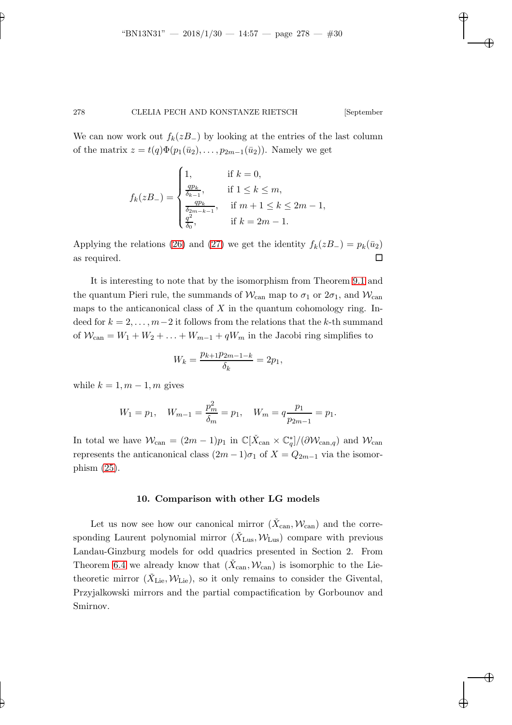We can now work out  $f_k(zB_+)$  by looking at the entries of the last column of the matrix  $z = t(q)\Phi(p_1(\bar{u}_2), \ldots, p_{2m-1}(\bar{u}_2))$ . Namely we get

$$
f_k(zB_-) = \begin{cases} 1, & \text{if } k = 0, \\ \frac{qp_k}{\delta_{k-1}}, & \text{if } 1 \le k \le m, \\ \frac{qp_k}{\delta_{2m-k-1}}, & \text{if } m+1 \le k \le 2m-1, \\ \frac{q^2}{\delta_0}, & \text{if } k = 2m-1. \end{cases}
$$

Applying the relations [\(26\)](#page-27-0) and [\(27\)](#page-27-1) we get the identity  $f_k(zB_{-}) = p_k(\bar{u}_2)$ as required.  $\square$ 

It is interesting to note that by the isomorphism from Theorem [9.1](#page-27-2) and the quantum Pieri rule, the summands of  $\mathcal{W}_{\text{can}}$  map to  $\sigma_1$  or  $2\sigma_1$ , and  $\mathcal{W}_{\text{can}}$ maps to the anticanonical class of  $X$  in the quantum cohomology ring. Indeed for  $k = 2, \ldots, m-2$  it follows from the relations that the k-th summand of  $W_{\text{can}} = W_1 + W_2 + \ldots + W_{m-1} + qW_m$  in the Jacobi ring simplifies to

$$
W_k = \frac{p_{k+1}p_{2m-1-k}}{\delta_k} = 2p_1,
$$

while  $k = 1, m - 1, m$  gives

$$
W_1 = p_1
$$
,  $W_{m-1} = \frac{p_m^2}{\delta_m} = p_1$ ,  $W_m = q \frac{p_1}{p_{2m-1}} = p_1$ .

In total we have  $\mathcal{W}_{\text{can}} = (2m-1)p_1$  in  $\mathbb{C}[\check{X}_{\text{can}} \times \mathbb{C}_q^*]/(\partial \mathcal{W}_{\text{can},q})$  and  $\mathcal{W}_{\text{can}}$ represents the anticanonical class  $(2m-1)\sigma_1$  of  $X = Q_{2m-1}$  via the isomorphism [\(25\)](#page-27-3).

#### 10. Comparison with other LG models

Let us now see how our canonical mirror  $(\check{X}_{\text{can}}, \mathcal{W}_{\text{can}})$  and the corresponding Laurent polynomial mirror  $(\check{X}_{\text{Lus}}, \mathcal{W}_{\text{Lus}})$  compare with previous Landau-Ginzburg models for odd quadrics presented in Section 2. From Theorem [6.4](#page-21-1) we already know that  $(\check{X}_{\text{can}}, \mathcal{W}_{\text{can}})$  is isomorphic to the Lietheoretic mirror  $(\check{X}_{\text{Lie}}, \mathcal{W}_{\text{Lie}})$ , so it only remains to consider the Givental, Przyjalkowski mirrors and the partial compactification by Gorbounov and Smirnov.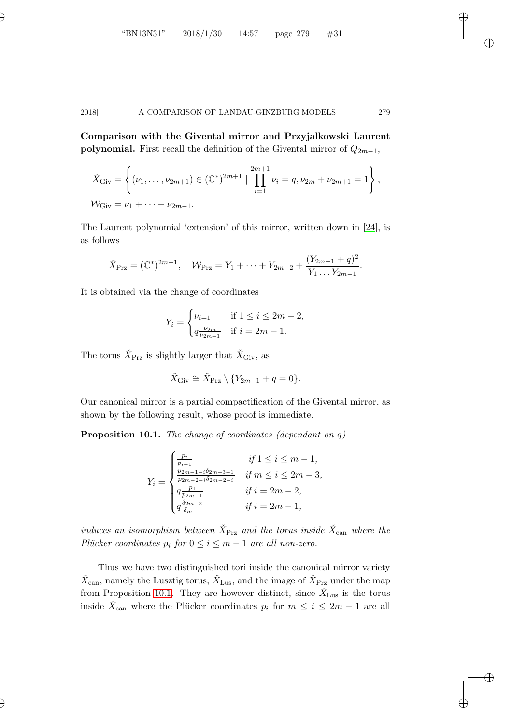Comparison with the Givental mirror and Przyjalkowski Laurent **polynomial.** First recall the definition of the Givental mirror of  $Q_{2m-1}$ ,

$$
\check{X}_{\text{Giv}} = \left\{ (\nu_1, \dots, \nu_{2m+1}) \in (\mathbb{C}^*)^{2m+1} \mid \prod_{i=1}^{2m+1} \nu_i = q, \nu_{2m} + \nu_{2m+1} = 1 \right\},\,
$$
  

$$
\mathcal{W}_{\text{Giv}} = \nu_1 + \dots + \nu_{2m-1}.
$$

The Laurent polynomial 'extension' of this mirror, written down in [\[24\]](#page-42-10), is as follows

$$
\check{X}_{\text{Prz}} = (\mathbb{C}^*)^{2m-1}, \quad \mathcal{W}_{\text{Prz}} = Y_1 + \dots + Y_{2m-2} + \frac{(Y_{2m-1} + q)^2}{Y_1 \dots Y_{2m-1}}.
$$

It is obtained via the change of coordinates

$$
Y_i = \begin{cases} \nu_{i+1} & \text{if } 1 \le i \le 2m - 2, \\ q \frac{\nu_{2m}}{\nu_{2m+1}} & \text{if } i = 2m - 1. \end{cases}
$$

The torus  $\check{X}_{\text{Prz}}$  is slightly larger that  $\check{X}_{\text{Giv}}$ , as

$$
\check{X}_{\mathrm{Giv}} \cong \check{X}_{\mathrm{Prz}} \setminus \{Y_{2m-1} + q = 0\}.
$$

<span id="page-30-0"></span>Our canonical mirror is a partial compactification of the Givental mirror, as shown by the following result, whose proof is immediate.

**Proposition 10.1.** The change of coordinates (dependant on  $q$ )

$$
Y_i = \begin{cases} \frac{p_i}{p_{i-1}} & \text{if } 1 \le i \le m-1, \\ \frac{p_{2m-1-i}\delta_{2m-3-1}}{p_{2m-2-i}\delta_{2m-2-i}} & \text{if } m \le i \le 2m-3, \\ q_{\frac{p_1}{p_{2m-1}}} & \text{if } i = 2m-2, \\ q_{\frac{\delta_{2m-2}}{\delta_{m-1}}}^{\frac{\delta_{2m-2}}{\delta_{m-1}}} & \text{if } i = 2m-1, \end{cases}
$$

induces an isomorphism between  $\check{X}_\text{Prz}$  and the torus inside  $\check{X}_\text{can}$  where the Plücker coordinates  $p_i$  for  $0 \le i \le m-1$  are all non-zero.

Thus we have two distinguished tori inside the canonical mirror variety  $\check{X}_{\mathrm{can}}$ , namely the Lusztig torus,  $\check{X}_{\mathrm{Lus}}$ , and the image of  $\check{X}_{\mathrm{Prz}}$  under the map from Proposition [10.1.](#page-30-0) They are however distinct, since  $\check{X}_{\text{Lus}}$  is the torus inside  $\check{X}_{\text{can}}$  where the Plücker coordinates  $p_i$  for  $m \leq i \leq 2m - 1$  are all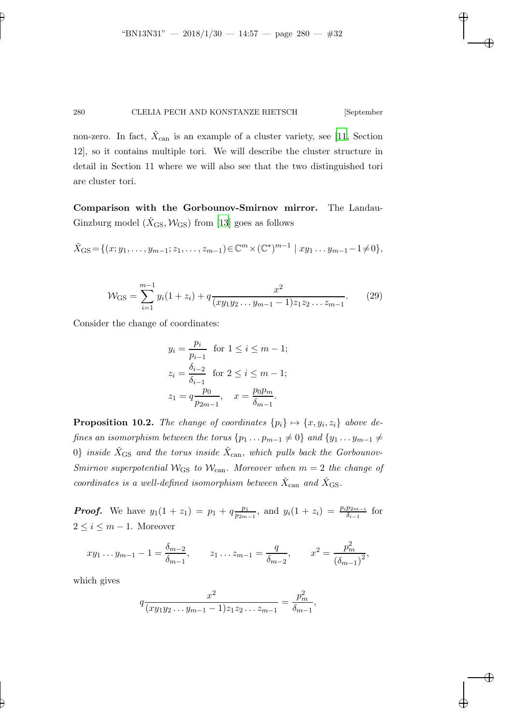non-zero. In fact,  $\check{X}_{\text{can}}$  is an example of a cluster variety, see [\[11,](#page-42-12) Section 12], so it contains multiple tori. We will describe the cluster structure in detail in Section 11 where we will also see that the two distinguished tori are cluster tori.

Comparison with the Gorbounov-Smirnov mirror. The Landau-Ginzburg model  $(X_{\text{GS}}, \mathcal{W}_{\text{GS}})$  from [\[13](#page-42-2)] goes as follows

$$
\check{X}_{\text{GS}} = \{ (x; y_1, \dots, y_{m-1}; z_1, \dots, z_{m-1}) \in \mathbb{C}^m \times (\mathbb{C}^*)^{m-1} \mid xy_1 \dots y_{m-1} - 1 \neq 0 \},
$$

$$
\mathcal{W}_{\text{GS}} = \sum_{i=1}^{m-1} y_i (1+z_i) + q \frac{x^2}{(xy_1y_2 \dots y_{m-1} - 1)z_1z_2 \dots z_{m-1}}.
$$
 (29)

Consider the change of coordinates:

$$
y_i = \frac{p_i}{p_{i-1}} \text{ for } 1 \le i \le m - 1; z_i = \frac{\delta_{i-2}}{\delta_{i-1}} \text{ for } 2 \le i \le m - 1; z_1 = q \frac{p_0}{p_{2m-1}}, \quad x = \frac{p_0 p_m}{\delta_{m-1}}.
$$

<span id="page-31-0"></span>**Proposition 10.2.** The change of coordinates  $\{p_i\} \mapsto \{x, y_i, z_i\}$  above defines an isomorphism between the torus  $\{p_1 \ldots p_{m-1} \neq 0\}$  and  $\{y_1 \ldots y_{m-1} \neq 0\}$  $0\}$  inside  $\check X_{\rm GS}$  and the torus inside  $\check X_{\rm can}$ , which pulls back the Gorbounov-Smirnov superpotential  $W_{\text{GS}}$  to  $W_{\text{can}}$ . Moreover when  $m = 2$  the change of coordinates is a well-defined isomorphism between  $\check{X}_{\mathrm{can}}$  and  $\check{X}_{\mathrm{GS}}$ .

*Proof.* We have  $y_1(1 + z_1) = p_1 + q \frac{p_1}{p_2m_1}$  $\frac{p_1}{p_{2m-1}}$ , and  $y_i(1 + z_i) = \frac{p_i p_{2m-i}}{\delta_{i-1}}$  for  $2 \leq i \leq m-1$ . Moreover

$$
xy_1 \dots y_{m-1} - 1 = \frac{\delta_{m-2}}{\delta_{m-1}}, \qquad z_1 \dots z_{m-1} = \frac{q}{\delta_{m-2}}, \qquad x^2 = \frac{p_m^2}{(\delta_{m-1})^2},
$$

which gives

$$
q \frac{x^2}{(xy_1y_2\ldots y_{m-1}-1)z_1z_2\ldots z_{m-1}} = \frac{p_m^2}{\delta_{m-1}},
$$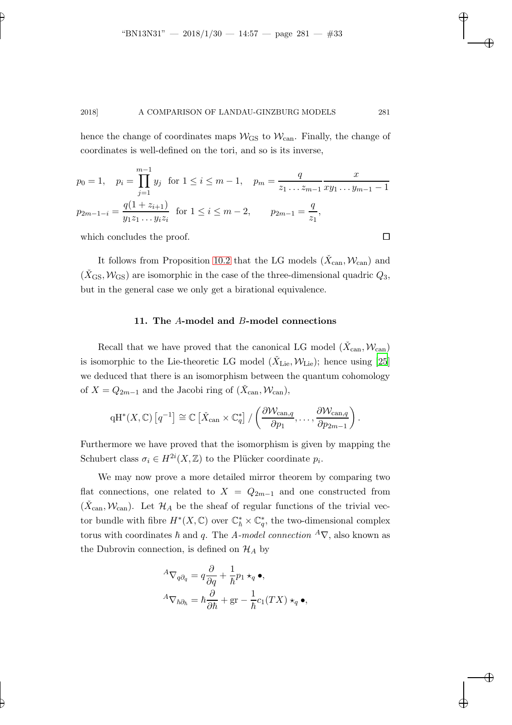hence the change of coordinates maps  $W_{\text{GS}}$  to  $W_{\text{can}}$ . Finally, the change of coordinates is well-defined on the tori, and so is its inverse,

$$
p_0 = 1, \quad p_i = \prod_{j=1}^{m-1} y_j \text{ for } 1 \le i \le m-1, \quad p_m = \frac{q}{z_1 \dots z_{m-1}} \frac{x}{xy_1 \dots y_{m-1} - 1}
$$

$$
p_{2m-1-i} = \frac{q(1+z_{i+1})}{y_1 z_1 \dots y_i z_i} \text{ for } 1 \le i \le m-2, \qquad p_{2m-1} = \frac{q}{z_1},
$$

which concludes the proof.  $\Box$ 

It follows from Proposition [10.2](#page-31-0) that the LG models  $(\check{X}_{\text{can}}, \mathcal{W}_{\text{can}})$  and  $(\dot{X}_{\text{GS}}, \mathcal{W}_{\text{GS}})$  are isomorphic in the case of the three-dimensional quadric  $Q_3$ , but in the general case we only get a birational equivalence.

#### 11. The A-model and B-model connections

Recall that we have proved that the canonical LG model  $(\check{X}_{\text{can}}, \mathcal{W}_{\text{can}})$ is isomorphic to the Lie-theoretic LG model ( $\check{X}_{\mathrm{Lie}}, \mathcal{W}_{\mathrm{Lie}}$ ); hence using [\[25](#page-42-0)] we deduced that there is an isomorphism between the quantum cohomology of  $X = Q_{2m-1}$  and the Jacobi ring of  $(\check{X}_{\text{can}}, W_{\text{can}})$ ,

$$
\mathrm{qH}^*(X,\mathbb{C})\left[q^{-1}\right] \cong \mathbb{C}\left[\check{X}_{\mathrm{can}} \times \mathbb{C}_q^*\right] / \left(\frac{\partial \mathcal{W}_{\mathrm{can},q}}{\partial p_1},\ldots,\frac{\partial \mathcal{W}_{\mathrm{can},q}}{\partial p_{2m-1}}\right).
$$

Furthermore we have proved that the isomorphism is given by mapping the Schubert class  $\sigma_i \in H^{2i}(X,\mathbb{Z})$  to the Plücker coordinate  $p_i$ .

We may now prove a more detailed mirror theorem by comparing two flat connections, one related to  $X = Q_{2m-1}$  and one constructed from  $(\check{X}_{\text{can}}, \mathcal{W}_{\text{can}})$ . Let  $\mathcal{H}_A$  be the sheaf of regular functions of the trivial vector bundle with fibre  $H^*(X, \mathbb{C})$  over  $\mathbb{C}^*_{\hbar} \times \mathbb{C}^*_{q}$ , the two-dimensional complex torus with coordinates  $\hbar$  and q. The A-model connection <sup>A</sup> $\nabla$ , also known as the Dubrovin connection, is defined on  $\mathcal{H}_A$  by

$$
{}^{A}\nabla_{q\partial_{q}} = q\frac{\partial}{\partial q} + \frac{1}{\hbar}p_{1} \star_{q} \bullet,
$$
  

$$
{}^{A}\nabla_{\hbar\partial_{\hbar}} = \hbar \frac{\partial}{\partial \hbar} + \text{gr} - \frac{1}{\hbar}c_{1}(TX) \star_{q} \bullet,
$$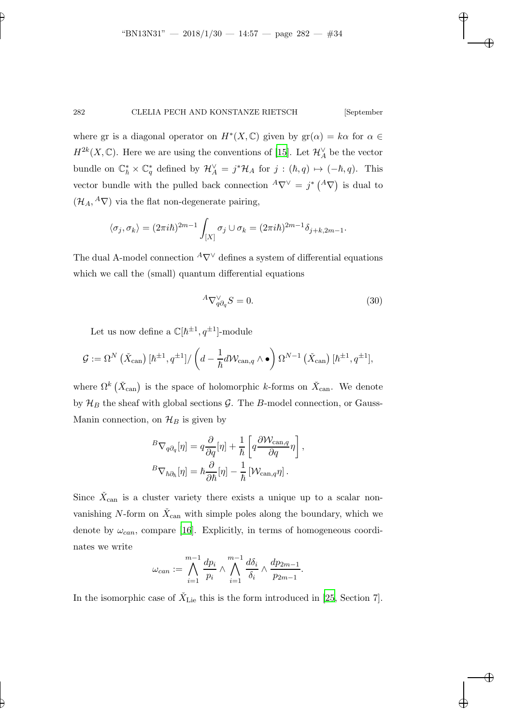where gr is a diagonal operator on  $H^*(X, \mathbb{C})$  given by  $gr(\alpha) = k\alpha$  for  $\alpha \in \mathbb{C}$  $H^{2k}(X,\mathbb{C})$ . Here we are using the conventions of [\[15](#page-42-13)]. Let  $\mathcal{H}_A^{\vee}$  be the vector bundle on  $\mathbb{C}^*_{\hbar} \times \mathbb{C}^*_{q}$  defined by  $\mathcal{H}_A^{\vee} = j^* \mathcal{H}_A$  for  $j : (\hbar, q) \mapsto (-\hbar, q)$ . This vector bundle with the pulled back connection  ${}^A\nabla^{\vee} = j^* ({}^A \nabla)$  is dual to  $(\mathcal{H}_A, {}^A \nabla)$  via the flat non-degenerate pairing,

$$
\langle \sigma_j, \sigma_k \rangle = (2\pi i\hbar)^{2m-1} \int_{[X]} \sigma_j \cup \sigma_k = (2\pi i\hbar)^{2m-1} \delta_{j+k, 2m-1}.
$$

The dual A-model connection  $^A\nabla^\vee$  defines a system of differential equations which we call the (small) quantum differential equations

<span id="page-33-1"></span>
$$
{}^{A}\nabla_{q\partial_{q}}^{\vee}S = 0. \tag{30}
$$

Let us now define a  $\mathbb{C}[\hbar^{\pm 1}, q^{\pm 1}]$ -module

$$
\mathcal{G} := \Omega^N\left(\check{X}_{\text{can}}\right)[\hbar^{\pm 1}, q^{\pm 1}]/\left(d - \frac{1}{\hbar}d\mathcal{W}_{\text{can},q}\wedge\bullet\right)\Omega^{N-1}\left(\check{X}_{\text{can}}\right)[\hbar^{\pm 1}, q^{\pm 1}],
$$

where  $\Omega^k(\check{X}_{\text{can}})$  is the space of holomorphic k-forms on  $\check{X}_{\text{can}}$ . We denote by  $\mathcal{H}_B$  the sheaf with global sections  $\mathcal{G}$ . The B-model connection, or Gauss-Manin connection, on  $\mathcal{H}_B$  is given by

$$
{}^{B}\nabla_{q\partial_{q}}[\eta] = q \frac{\partial}{\partial q}[\eta] + \frac{1}{\hbar} \left[ q \frac{\partial \mathcal{W}_{\text{can},q}}{\partial q} \eta \right],
$$
  

$$
{}^{B}\nabla_{\hbar \partial_{\hbar}}[\eta] = \hbar \frac{\partial}{\partial \hbar}[\eta] - \frac{1}{\hbar} \left[ \mathcal{W}_{\text{can},q} \eta \right].
$$

Since  $\check{X}_{\text{can}}$  is a cluster variety there exists a unique up to a scalar nonvanishing N-form on  $\check{X}_{\text{can}}$  with simple poles along the boundary, which we denote by  $\omega_{can}$ , compare [\[16](#page-42-14)]. Explicitly, in terms of homogeneous coordinates we write

$$
\omega_{can} := \bigwedge_{i=1}^{m-1} \frac{dp_i}{p_i} \wedge \bigwedge_{i=1}^{m-1} \frac{d\delta_i}{\delta_i} \wedge \frac{dp_{2m-1}}{p_{2m-1}}.
$$

<span id="page-33-0"></span>In the isomorphic case of  $\check{X}_{\text{Lie}}$  this is the form introduced in [\[25,](#page-42-0) Section 7].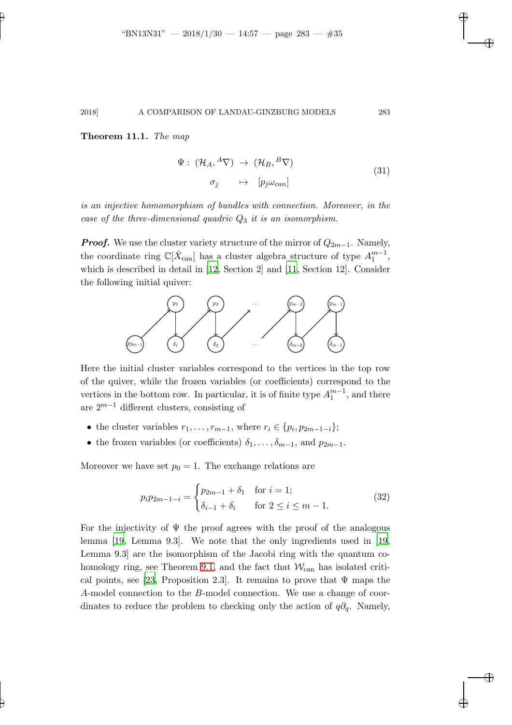#### Theorem 11.1. The map

$$
\Psi: (\mathcal{H}_A, {}^A \nabla) \to (\mathcal{H}_B, {}^B \nabla)
$$
  
\n
$$
\sigma_j \quad \mapsto \quad [p_j \omega_{can}]
$$
\n(31)

is an injective homomorphism of bundles with connection. Moreover, in the case of the three-dimensional quadric  $Q_3$  it is an isomorphism.

**Proof.** We use the cluster variety structure of the mirror of  $Q_{2m-1}$ . Namely, the coordinate ring  $\mathbb{C}[\check{X}_{\text{can}}]$  has a cluster algebra structure of type  $A_1^{m-1}$ , which is described in detail in [\[12](#page-42-15), Section 2] and [\[11,](#page-42-12) Section 12]. Consider the following initial quiver:



Here the initial cluster variables correspond to the vertices in the top row of the quiver, while the frozen variables (or coefficients) correspond to the vertices in the bottom row. In particular, it is of finite type  $A_1^{m-1}$ , and there are  $2^{m-1}$  different clusters, consisting of

- the cluster variables  $r_1, \ldots, r_{m-1}$ , where  $r_i \in \{p_i, p_{2m-1-i}\};$
- the frozen variables (or coefficients)  $\delta_1, \ldots, \delta_{m-1}$ , and  $p_{2m-1}$ .

Moreover we have set  $p_0 = 1$ . The exchange relations are

<span id="page-34-0"></span>
$$
p_i p_{2m-1-i} = \begin{cases} p_{2m-1} + \delta_1 & \text{for } i = 1; \\ \delta_{i-1} + \delta_i & \text{for } 2 \le i \le m-1. \end{cases}
$$
 (32)

For the injectivity of  $\Psi$  the proof agrees with the proof of the analogous lemma [\[19,](#page-42-5) Lemma 9.3]. We note that the only ingredients used in [\[19](#page-42-5), Lemma 9.3] are the isomorphism of the Jacobi ring with the quantum co-homology ring, see Theorem [9.1,](#page-27-2) and the fact that  $\mathcal{W}_{\text{can}}$  has isolated criti-cal points, see [\[23,](#page-42-7) Proposition 2.3]. It remains to prove that  $\Psi$  maps the A-model connection to the B-model connection. We use a change of coordinates to reduce the problem to checking only the action of  $q\partial_q$ . Namely,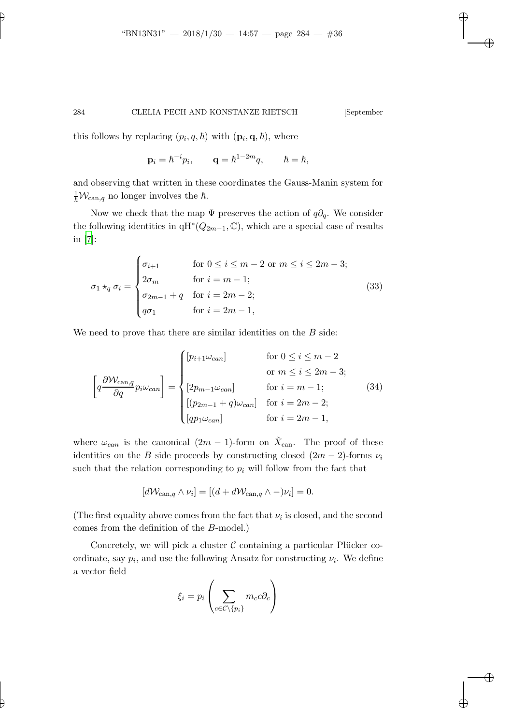<span id="page-35-0"></span>

this follows by replacing  $(p_i, q, \hbar)$  with  $(\mathbf{p}_i, \mathbf{q}, \hbar)$ , where

$$
\mathbf{p}_i = \hbar^{-i} p_i, \qquad \mathbf{q} = \hbar^{1-2m} q, \qquad \hbar = \hbar,
$$

and observing that written in these coordinates the Gauss-Manin system for  $\frac{1}{\hbar} \mathcal{W}_{\text{can},q}$  no longer involves the  $\hbar$ .

Now we check that the map  $\Psi$  preserves the action of  $q\partial_q$ . We consider the following identities in  $qH^*(Q_{2m-1}, \mathbb{C})$ , which are a special case of results in [\[7\]](#page-41-7):

$$
\sigma_1 \star_q \sigma_i = \begin{cases}\n\sigma_{i+1} & \text{for } 0 \le i \le m-2 \text{ or } m \le i \le 2m-3; \\
2\sigma_m & \text{for } i = m-1; \\
\sigma_{2m-1} + q & \text{for } i = 2m-2; \\
q\sigma_1 & \text{for } i = 2m-1,\n\end{cases} \tag{33}
$$

We need to prove that there are similar identities on the  $B$  side:

$$
\left[q\frac{\partial W_{\text{can},q}}{\partial q}p_i\omega_{\text{can}}\right] = \begin{cases} [p_{i+1}\omega_{\text{can}}] & \text{for } 0 \le i \le m-2\\ 0 & \text{or } m \le i \le 2m-3; \\ [2p_{m-1}\omega_{\text{can}}] & \text{for } i = m-1; \\ [(p_{2m-1}+q)\omega_{\text{can}}] & \text{for } i = 2m-2; \\ [qp_1\omega_{\text{can}}] & \text{for } i = 2m-1, \end{cases} \tag{34}
$$

where  $\omega_{can}$  is the canonical  $(2m-1)$ -form on  $\check{X}_{can}$ . The proof of these identities on the B side proceeds by constructing closed  $(2m - 2)$ -forms  $\nu_i$ such that the relation corresponding to  $p_i$  will follow from the fact that

<span id="page-35-1"></span>
$$
[d\mathcal{W}_{\text{can},q} \wedge \nu_i] = [(d + d\mathcal{W}_{\text{can},q} \wedge -) \nu_i] = 0.
$$

(The first equality above comes from the fact that  $\nu_i$  is closed, and the second comes from the definition of the B-model.)

Concretely, we will pick a cluster  $C$  containing a particular Plücker coordinate, say  $p_i$ , and use the following Ansatz for constructing  $\nu_i$ . We define a vector field

$$
\xi_i = p_i \left( \sum_{c \in \mathcal{C} \setminus \{p_i\}} m_c c \partial_c \right)
$$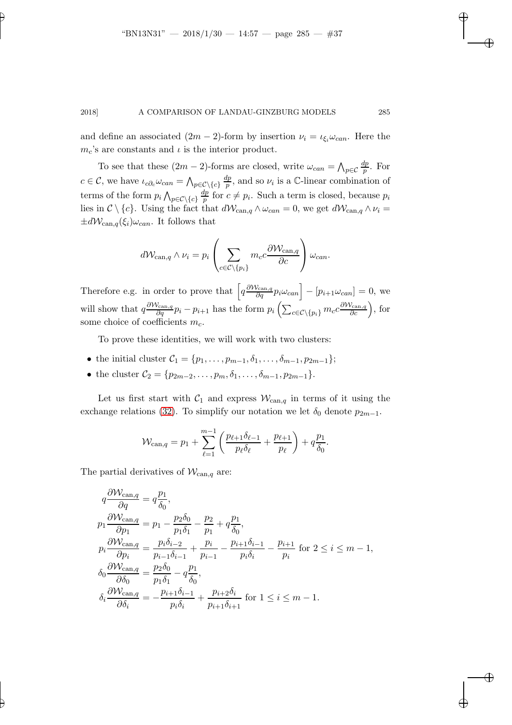and define an associated  $(2m - 2)$ -form by insertion  $\nu_i = \iota_{\xi_i}\omega_{can}$ . Here the  $m_c$ 's are constants and  $\iota$  is the interior product.

To see that these  $(2m-2)$ -forms are closed, write  $\omega_{can} = \bigwedge_{p \in C}$  $_{dp}$  $\frac{ip}{p}$ . For  $c \in \mathcal{C}$ , we have  $\iota_{c\partial_c}\omega_{can} = \bigwedge_{p \in \mathcal{C} \setminus \{c\}}$  $\,dp$  $\frac{dp}{p}$ , and so  $\nu_i$  is a C-linear combination of terms of the form  $p_i \bigwedge_{p \in \mathcal{C} \setminus \{c\}}$  $\frac{dp}{dt}$  $\frac{dp}{p}$  for  $c \neq p_i$ . Such a term is closed, because  $p_i$ lies in  $C \setminus \{c\}$ . Using the fact that  $d\mathcal{W}_{\text{can},q} \wedge \omega_{\text{can}} = 0$ , we get  $d\mathcal{W}_{\text{can},q} \wedge \nu_i =$  $\pm dW_{\text{can},q}(\xi_i)\omega_{can}$ . It follows that

$$
d\mathcal{W}_{\text{can},q} \wedge \nu_i = p_i \left( \sum_{c \in \mathcal{C} \setminus \{p_i\}} m_c c \frac{\partial \mathcal{W}_{\text{can},q}}{\partial c} \right) \omega_{can}.
$$

Therefore e.g. in order to prove that  $\left[q \frac{\partial W_{\text{can},q}}{\partial q} p_i \omega_{\text{can}}\right] - [p_{i+1} \omega_{\text{can}}] = 0$ , we will show that  $q \frac{\partial W_{\text{can},q}}{\partial q} p_i - p_{i+1}$  has the form  $p_i \left( \sum_{c \in \mathcal{C} \setminus \{p_i\}} m_c c \frac{\partial W_{\text{can},q}}{\partial c} \right)$ , for some choice of coefficients  $m_c$ .

To prove these identities, we will work with two clusters:

- the initial cluster  $C_1 = \{p_1, \ldots, p_{m-1}, \delta_1, \ldots, \delta_{m-1}, p_{2m-1}\};$
- the cluster  $C_2 = \{p_{2m-2}, \ldots, p_m, \delta_1, \ldots, \delta_{m-1}, p_{2m-1}\}.$

Let us first start with  $C_1$  and express  $W_{\text{can},q}$  in terms of it using the exchange relations [\(32\)](#page-34-0). To simplify our notation we let  $\delta_0$  denote  $p_{2m-1}$ .

$$
\mathcal{W}_{\text{can},q} = p_1 + \sum_{\ell=1}^{m-1} \left( \frac{p_{\ell+1} \delta_{\ell-1}}{p_{\ell} \delta_{\ell}} + \frac{p_{\ell+1}}{p_{\ell}} \right) + q \frac{p_1}{\delta_0}.
$$

The partial derivatives of  $\mathcal{W}_{\text{can},q}$  are:

$$
q\frac{\partial \mathcal{W}_{\text{can},q}}{\partial q} = q\frac{p_1}{\delta_0},
$$
  
\n
$$
p_1 \frac{\partial \mathcal{W}_{\text{can},q}}{\partial p_1} = p_1 - \frac{p_2 \delta_0}{p_1 \delta_1} - \frac{p_2}{p_1} + q\frac{p_1}{\delta_0},
$$
  
\n
$$
p_i \frac{\partial \mathcal{W}_{\text{can},q}}{\partial p_i} = \frac{p_i \delta_{i-2}}{p_{i-1} \delta_{i-1}} + \frac{p_i}{p_{i-1}} - \frac{p_{i+1} \delta_{i-1}}{p_i \delta_i} - \frac{p_{i+1}}{p_i} \text{ for } 2 \le i \le m - 1,
$$
  
\n
$$
\delta_0 \frac{\partial \mathcal{W}_{\text{can},q}}{\partial \delta_0} = \frac{p_2 \delta_0}{p_1 \delta_1} - q\frac{p_1}{\delta_0},
$$
  
\n
$$
\delta_i \frac{\partial \mathcal{W}_{\text{can},q}}{\partial \delta_i} = -\frac{p_{i+1} \delta_{i-1}}{p_i \delta_i} + \frac{p_{i+2} \delta_i}{p_{i+1} \delta_{i+1}} \text{ for } 1 \le i \le m - 1.
$$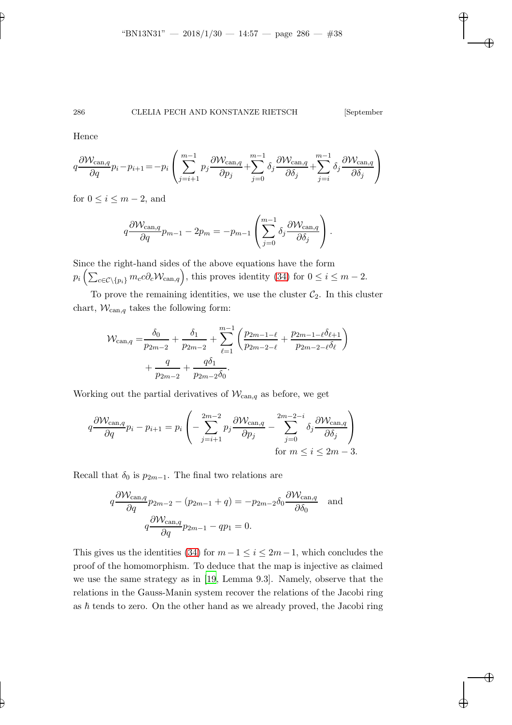Hence

$$
q\frac{\partial W_{\text{can},q}}{\partial q}p_i - p_{i+1} = -p_i \left( \sum_{j=i+1}^{m-1} p_j \frac{\partial W_{\text{can},q}}{\partial p_j} + \sum_{j=0}^{m-1} \delta_j \frac{\partial W_{\text{can},q}}{\partial \delta_j} + \sum_{j=i}^{m-1} \delta_j \frac{\partial W_{\text{can},q}}{\partial \delta_j} \right)
$$

for  $0 \leq i \leq m-2$ , and

$$
q\frac{\partial \mathcal{W}_{\text{can},q}}{\partial q}p_{m-1} - 2p_m = -p_{m-1}\left(\sum_{j=0}^{m-1} \delta_j \frac{\partial \mathcal{W}_{\text{can},q}}{\partial \delta_j}\right).
$$

Since the right-hand sides of the above equations have the form  $p_i\left(\sum_{c\in\mathcal{C}\setminus\{p_i\}}m_c c\partial_c \mathcal{W}_{\text{can},q}\right)$ , this proves identity [\(34\)](#page-35-1) for  $0\leq i\leq m-2$ .

To prove the remaining identities, we use the cluster  $C_2$ . In this cluster chart,  $W_{\text{can},q}$  takes the following form:

$$
\mathcal{W}_{\text{can},q} = \frac{\delta_0}{p_{2m-2}} + \frac{\delta_1}{p_{2m-2}} + \sum_{\ell=1}^{m-1} \left( \frac{p_{2m-1-\ell}}{p_{2m-2-\ell}} + \frac{p_{2m-1-\ell}\delta_{\ell+1}}{p_{2m-2-\ell}\delta_{\ell}} \right) + \frac{q}{p_{2m-2}} + \frac{q\delta_1}{p_{2m-2}\delta_0}.
$$

Working out the partial derivatives of  $\mathcal{W}_{\text{can},q}$  as before, we get

$$
q\frac{\partial W_{\text{can},q}}{\partial q}p_i - p_{i+1} = p_i \left( -\sum_{j=i+1}^{2m-2} p_j \frac{\partial W_{\text{can},q}}{\partial p_j} - \sum_{j=0}^{2m-2-i} \delta_j \frac{\partial W_{\text{can},q}}{\partial \delta_j} \right)
$$
  
for  $m \le i \le 2m - 3$ .

Recall that  $\delta_0$  is  $p_{2m-1}$ . The final two relations are

$$
q\frac{\partial W_{\text{can},q}}{\partial q}p_{2m-2} - (p_{2m-1} + q) = -p_{2m-2}\delta_0 \frac{\partial W_{\text{can},q}}{\partial \delta_0} \quad \text{and}
$$

$$
q\frac{\partial W_{\text{can},q}}{\partial q}p_{2m-1} - qp_1 = 0.
$$

This gives us the identities [\(34\)](#page-35-1) for  $m-1 \leq i \leq 2m-1$ , which concludes the proof of the homomorphism. To deduce that the map is injective as claimed we use the same strategy as in [\[19](#page-42-5), Lemma 9.3]. Namely, observe that the relations in the Gauss-Manin system recover the relations of the Jacobi ring as  $\hbar$  tends to zero. On the other hand as we already proved, the Jacobi ring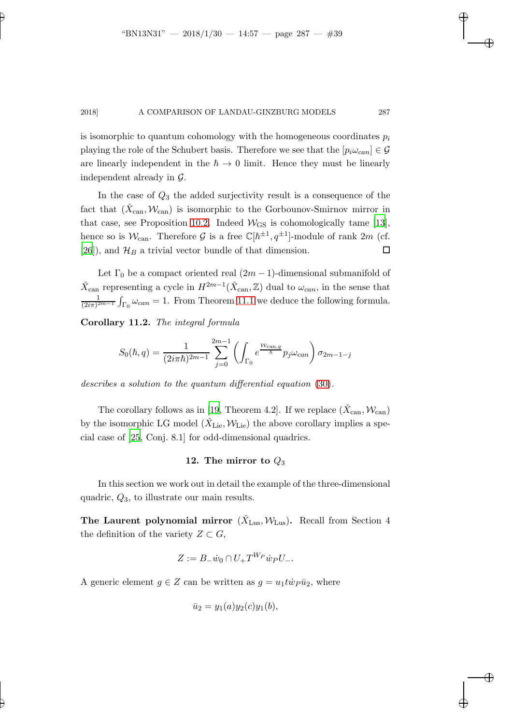is isomorphic to quantum cohomology with the homogeneous coordinates  $p_i$ playing the role of the Schubert basis. Therefore we see that the  $[p_i \omega_{can}] \in \mathcal{G}$ are linearly independent in the  $\hbar \to 0$  limit. Hence they must be linearly independent already in G.

In the case of  $Q_3$  the added surjectivity result is a consequence of the fact that  $(\check{X}_{\text{can}}, \mathcal{W}_{\text{can}})$  is isomorphic to the Gorbounov-Smirnov mirror in that case, see Proposition [10.2.](#page-31-0) Indeed  $W_{\text{GS}}$  is cohomologically tame [\[13](#page-42-2)], hence so is  $\mathcal{W}_{\text{can}}$ . Therefore  $\mathcal G$  is a free  $\mathbb C[h^{\pm 1}, q^{\pm 1}]$ -module of rank  $2m$  (cf. [\[26](#page-42-8)]), and  $\mathcal{H}_B$  a trivial vector bundle of that dimension.  $\Box$ 

Let  $\Gamma_0$  be a compact oriented real  $(2m-1)$ -dimensional submanifold of  $\check{X}_{\text{can}}$  representing a cycle in  $H^{2m-1}(\check{X}_{\text{can}}, \mathbb{Z})$  dual to  $\omega_{can}$ , in the sense that 1  $\frac{1}{(2i\pi)^{2m-1}} \int_{\Gamma_0} \omega_{can} = 1$ . From Theorem [11.1](#page-33-0) we deduce the following formula.

<span id="page-38-0"></span>Corollary 11.2. The integral formula

$$
S_0(\hbar, q) = \frac{1}{(2i\pi\hbar)^{2m-1}} \sum_{j=0}^{2m-1} \left( \int_{\Gamma_0} e^{\frac{\mathcal{W}_{\text{can},q}}{\hbar}} p_j \omega_{\text{can}} \right) \sigma_{2m-1-j}
$$

describes a solution to the quantum differential equation [\(30\)](#page-33-1).

The corollary follows as in [\[19,](#page-42-5) Theorem 4.2]. If we replace  $(\check{X}_{\operatorname{can}}, \mathcal{W}_{\operatorname{can}})$ by the isomorphic LG model  $(\check{X}_{\text{Lie}}, \mathcal{W}_{\text{Lie}})$  the above corollary implies a special case of [\[25,](#page-42-0) Conj. 8.1] for odd-dimensional quadrics.

## 12. The mirror to  $Q_3$

In this section we work out in detail the example of the three-dimensional quadric,  $Q_3$ , to illustrate our main results.

The Laurent polynomial mirror  $(\check{X}_{\text{Lus}}, \mathcal{W}_{\text{Lus}})$ . Recall from Section 4 the definition of the variety  $Z \subset G$ ,

$$
Z := B_{-} \dot{w}_0 \cap U_{+} T^{W_P} \dot{w}_P U_{-}.
$$

A generic element  $g \in Z$  can be written as  $g = u_1 t \dot{w}_P \bar{u}_2$ , where

$$
\bar{u}_2 = y_1(a)y_2(c)y_1(b),
$$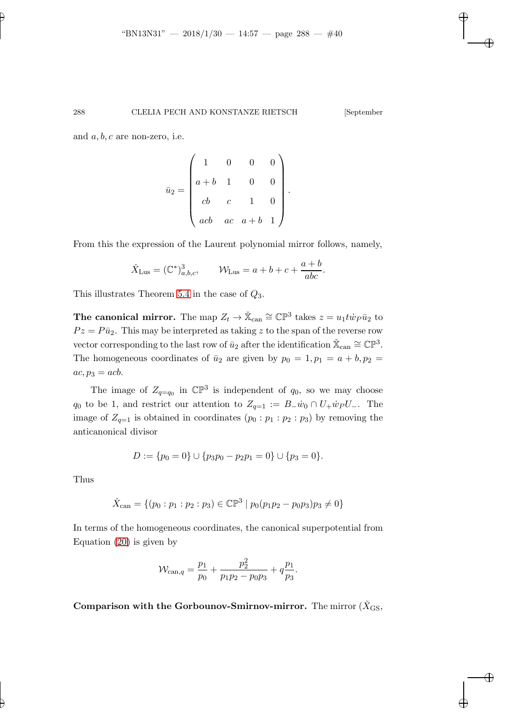and  $a, b, c$  are non-zero, i.e.

$$
\bar{u}_2 = \begin{pmatrix} 1 & 0 & 0 & 0 \\ a+b & 1 & 0 & 0 \\ cb & c & 1 & 0 \\ acb & ac & a+b & 1 \end{pmatrix}.
$$

From this the expression of the Laurent polynomial mirror follows, namely,

$$
\check{X}_{\text{Lus}} = (\mathbb{C}^*)^3_{a,b,c}, \qquad \mathcal{W}_{\text{Lus}} = a + b + c + \frac{a+b}{abc}.
$$

This illustrates Theorem [5.4](#page-17-0) in the case of  $Q_3$ .

The canonical mirror. The map  $Z_t \to \check{X}_{can} \cong \mathbb{CP}^3$  takes  $z = u_1 t \dot{w}_P \bar{u}_2$  to  $Pz = P\bar{u}_2$ . This may be interpreted as taking z to the span of the reverse row vector corresponding to the last row of  $\bar{u}_2$  after the identification  $\check{\mathbb{X}}_{\text{can}} \cong \mathbb{CP}^3$ . The homogeneous coordinates of  $\bar{u}_2$  are given by  $p_0 = 1, p_1 = a + b, p_2 =$  $ac, p_3 = acb.$ 

The image of  $Z_{q=q_0}$  in  $\mathbb{CP}^3$  is independent of  $q_0$ , so we may choose  $q_0$  to be 1, and restrict our attention to  $Z_{q=1} := B_{-} \dot{w}_0 \cap U_{+} \dot{w}_P U_{-}$ . The image of  $Z_{q=1}$  is obtained in coordinates  $(p_0 : p_1 : p_2 : p_3)$  by removing the anticanonical divisor

$$
D := \{p_0 = 0\} \cup \{p_3p_0 - p_2p_1 = 0\} \cup \{p_3 = 0\}.
$$

Thus

$$
\check{X}_{\text{can}} = \{ (p_0 : p_1 : p_2 : p_3) \in \mathbb{CP}^3 \mid p_0(p_1p_2 - p_0p_3)p_3 \neq 0 \}
$$

In terms of the homogeneous coordinates, the canonical superpotential from Equation [\(20\)](#page-21-2) is given by

$$
\mathcal{W}_{\text{can},q} = \frac{p_1}{p_0} + \frac{p_2^2}{p_1 p_2 - p_0 p_3} + q \frac{p_1}{p_3}.
$$

Comparison with the Gorbounov-Smirnov-mirror. The mirror  $(X_{\text{GS}},$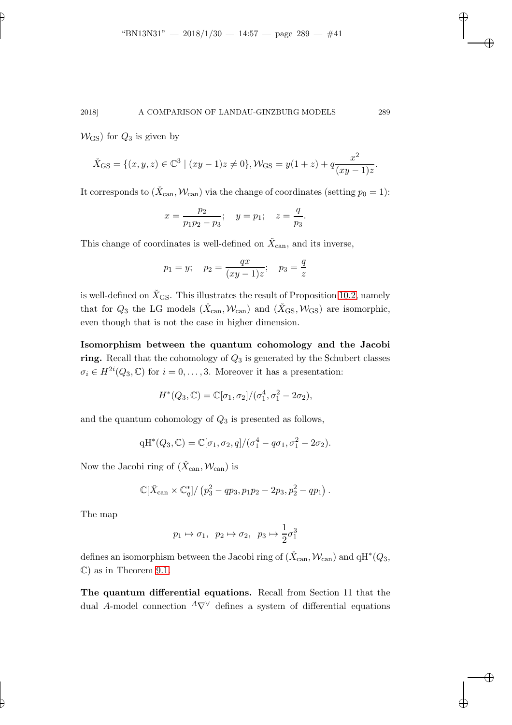$W_{\text{GS}}$ ) for  $Q_3$  is given by

$$
\check{X}_{\text{GS}} = \{ (x, y, z) \in \mathbb{C}^3 \mid (xy - 1)z \neq 0 \}, \mathcal{W}_{\text{GS}} = y(1 + z) + q \frac{x^2}{(xy - 1)z}.
$$

It corresponds to  $(\check{X}_{\text{can}}, \mathcal{W}_{\text{can}})$  via the change of coordinates (setting  $p_0 = 1$ ):

$$
x = \frac{p_2}{p_1 p_2 - p_3}; \quad y = p_1; \quad z = \frac{q}{p_3}.
$$

This change of coordinates is well-defined on  $\check{X}_{\mathrm{can}}$ , and its inverse,

$$
p_1 = y;
$$
  $p_2 = \frac{qx}{(xy - 1)z};$   $p_3 = \frac{q}{z}$ 

is well-defined on  $\check{X}_{\text{GS}}$ . This illustrates the result of Proposition [10.2,](#page-31-0) namely that for  $Q_3$  the LG models  $(\check{X}_{\text{can}}, \mathcal{W}_{\text{can}})$  and  $(\check{X}_{\text{GS}}, \mathcal{W}_{\text{GS}})$  are isomorphic, even though that is not the case in higher dimension.

Isomorphism between the quantum cohomology and the Jacobi ring. Recall that the cohomology of  $Q_3$  is generated by the Schubert classes  $\sigma_i \in H^{2i}(Q_3, \mathbb{C})$  for  $i = 0, \ldots, 3$ . Moreover it has a presentation:

$$
H^*(Q_3, \mathbb{C}) = \mathbb{C}[\sigma_1, \sigma_2]/(\sigma_1^4, \sigma_1^2 - 2\sigma_2),
$$

and the quantum cohomology of  $Q_3$  is presented as follows,

$$
qH^*(Q_3,\mathbb{C})=\mathbb{C}[\sigma_1,\sigma_2,q]/(\sigma_1^4-q\sigma_1,\sigma_1^2-2\sigma_2).
$$

Now the Jacobi ring of  $(\check{X}_{\text{can}}, \mathcal{W}_{\text{can}})$  is

$$
\mathbb{C}[\check{X}_{\text{can}} \times \mathbb{C}_q^*]/(p_3^2 - qp_3, p_1p_2 - 2p_3, p_2^2 - qp_1).
$$

The map

$$
p_1 \mapsto \sigma_1, \quad p_2 \mapsto \sigma_2, \quad p_3 \mapsto \frac{1}{2}\sigma_1^3
$$

defines an isomorphism between the Jacobi ring of  $(\check{X}_{\mathrm{can}}, \mathcal{W}_{\mathrm{can}})$  and  $\mathrm{qH}^*(Q_3, \mathcal{W}_{\mathrm{can}})$ C) as in Theorem [9.1.](#page-27-2)

The quantum differential equations. Recall from Section 11 that the dual A-model connection  $^A\nabla^{\vee}$  defines a system of differential equations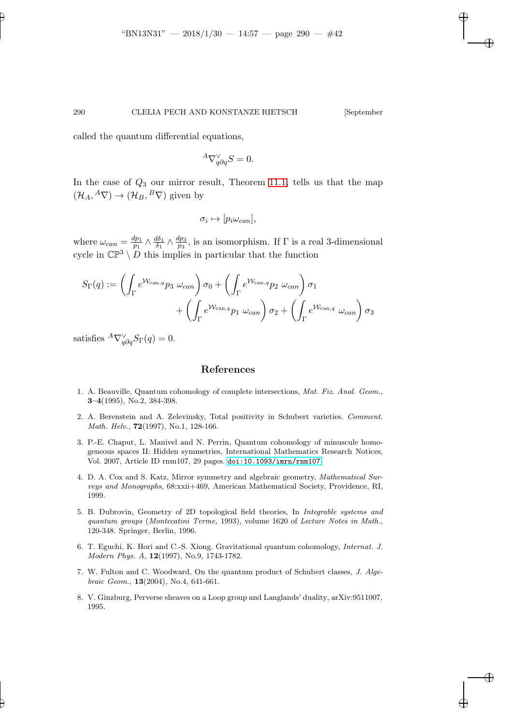called the quantum differential equations,

$$
{}^A\nabla_{q\partial q}^{\vee} S = 0.
$$

In the case of  $Q_3$  our mirror result, Theorem [11.1,](#page-33-0) tells us that the map  $(\mathcal{H}_A, {}^A \nabla) \rightarrow (\mathcal{H}_B, {}^B \nabla)$  given by

 $\sigma_i \mapsto [p_i \omega_{can}],$ 

where  $\omega_{can} = \frac{dp_1}{p_1}$  $\frac{dp_1}{p_1} \wedge \frac{d\delta_1}{\delta_1}$  $\frac{d\delta_1}{\delta_1}\wedge\frac{dp_3}{p_3}$  $\frac{pp_3}{p_3}$ , is an isomorphism. If  $\Gamma$  is a real 3-dimensional cycle in  $\mathbb{CP}^3 \setminus D$  this implies in particular that the function

$$
S_{\Gamma}(q) := \left(\int_{\Gamma} e^{\mathcal{W}_{\text{can},q}} p_3 \omega_{\text{can}}\right) \sigma_0 + \left(\int_{\Gamma} e^{\mathcal{W}_{\text{can},q}} p_2 \omega_{\text{can}}\right) \sigma_1 + \left(\int_{\Gamma} e^{\mathcal{W}_{\text{can},q}} p_1 \omega_{\text{can}}\right) \sigma_2 + \left(\int_{\Gamma} e^{\mathcal{W}_{\text{can},q}} \omega_{\text{can}}\right) \sigma_3
$$

satisfies  ${}^A\nabla_{q\partial q}^{\vee}S_{\Gamma}(q)=0.$ 

## References

- <span id="page-41-1"></span>1. A. Beauville, Quantum cohomology of complete intersections, *Mat. Fiz. Anal. Geom.*, 3–4(1995), No.2, 384-398.
- <span id="page-41-6"></span>2. A. Berenstein and A. Zelevinsky, Total positivity in Schubert varieties. *Comment. Math. Helv.*, 72(1997), No.1, 128-166.
- <span id="page-41-3"></span>3. P.-E. Chaput, L. Manivel and N. Perrin, Quantum cohomology of minuscule homogeneous spaces II: Hidden symmetries, International Mathematics Research Notices, Vol. 2007, Article ID rnm107, 29 pages. <doi:10.1093/imrn/rnm107>.
- <span id="page-41-2"></span>4. D. A. Cox and S. Katz, Mirror symmetry and algebraic geometry, *Mathematical Surveys and Monographs*, 68:xxii+469, American Mathematical Society, Providence, RI, 1999.
- <span id="page-41-4"></span>5. B. Dubrovin, Geometry of 2D topological field theories, In *Integrable systems and quantum groups* (*Montecatini Terme,* 1993), volume 1620 of *Lecture Notes in Math.*, 120-348. Springer, Berlin, 1996.
- <span id="page-41-5"></span>6. T. Eguchi, K. Hori and C.-S. Xiong. Gravitational quantum cohomology, *Internat. J. Modern Phys. A*, 12(1997), No.9, 1743-1782.
- <span id="page-41-7"></span>7. W. Fulton and C. Woodward, On the quantum product of Schubert classes, *J. Algebraic Geom.*, 13(2004), No.4, 641-661.
- <span id="page-41-0"></span>8. V. Ginzburg, Perverse sheaves on a Loop group and Langlands' duality, arXiv:9511007, 1995.